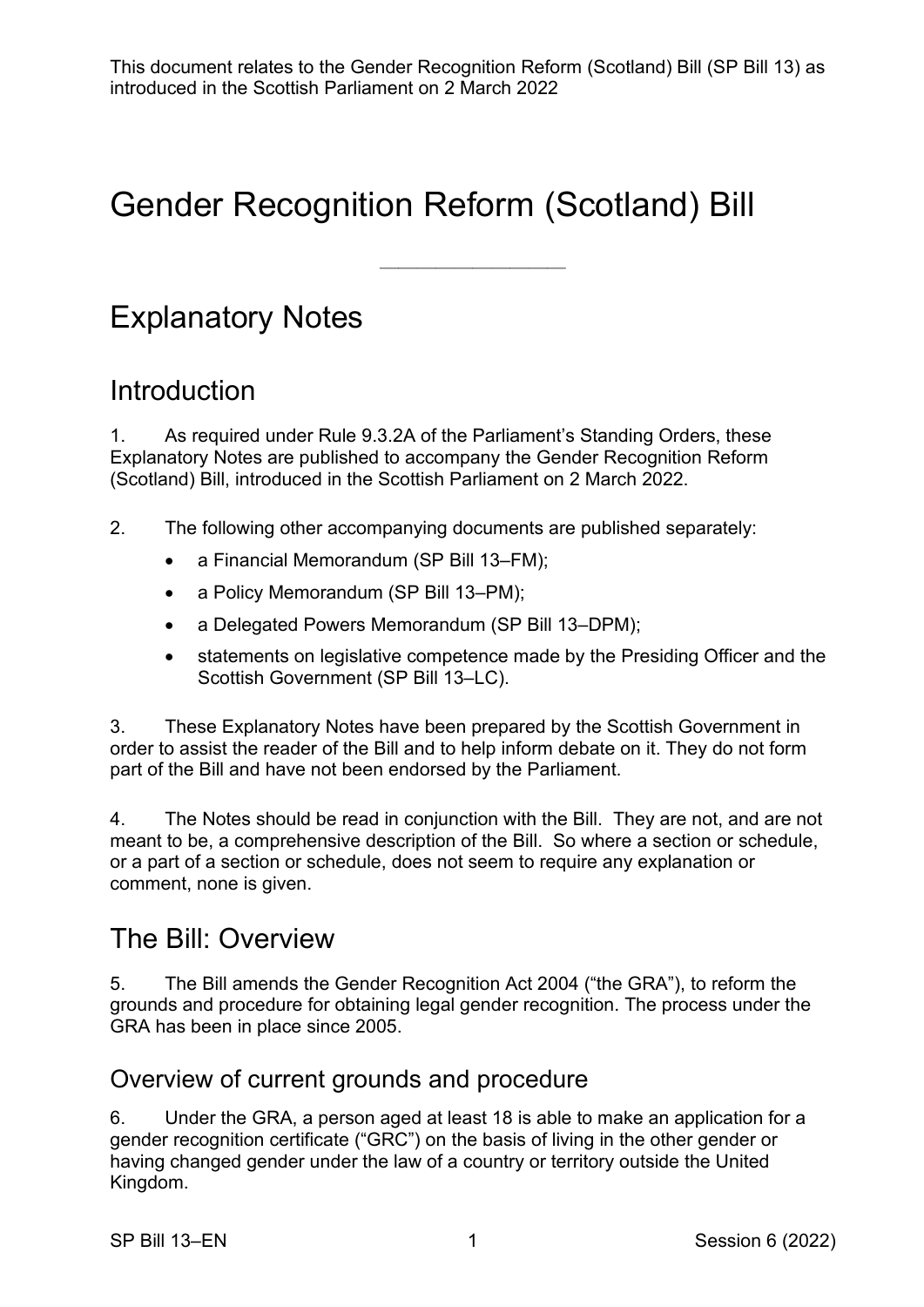$\frac{1}{\sqrt{2}}$ 

# Gender Recognition Reform (Scotland) Bill

## Explanatory Notes

## **Introduction**

1. As required under Rule 9.3.2A of the Parliament's Standing Orders, these Explanatory Notes are published to accompany the Gender Recognition Reform (Scotland) Bill, introduced in the Scottish Parliament on 2 March 2022.

2. The following other accompanying documents are published separately:

- a Financial Memorandum (SP Bill 13–FM);
- a Policy Memorandum (SP Bill 13–PM);
- a Delegated Powers Memorandum (SP Bill 13–DPM);
- statements on legislative competence made by the Presiding Officer and the Scottish Government (SP Bill 13–LC).

3. These Explanatory Notes have been prepared by the Scottish Government in order to assist the reader of the Bill and to help inform debate on it. They do not form part of the Bill and have not been endorsed by the Parliament.

4. The Notes should be read in conjunction with the Bill. They are not, and are not meant to be, a comprehensive description of the Bill. So where a section or schedule, or a part of a section or schedule, does not seem to require any explanation or comment, none is given.

## The Bill: Overview

5. The Bill amends the Gender Recognition Act 2004 ("the GRA"), to reform the grounds and procedure for obtaining legal gender recognition. The process under the GRA has been in place since 2005.

#### Overview of current grounds and procedure

6. Under the GRA, a person aged at least 18 is able to make an application for a gender recognition certificate ("GRC") on the basis of living in the other gender or having changed gender under the law of a country or territory outside the United Kingdom.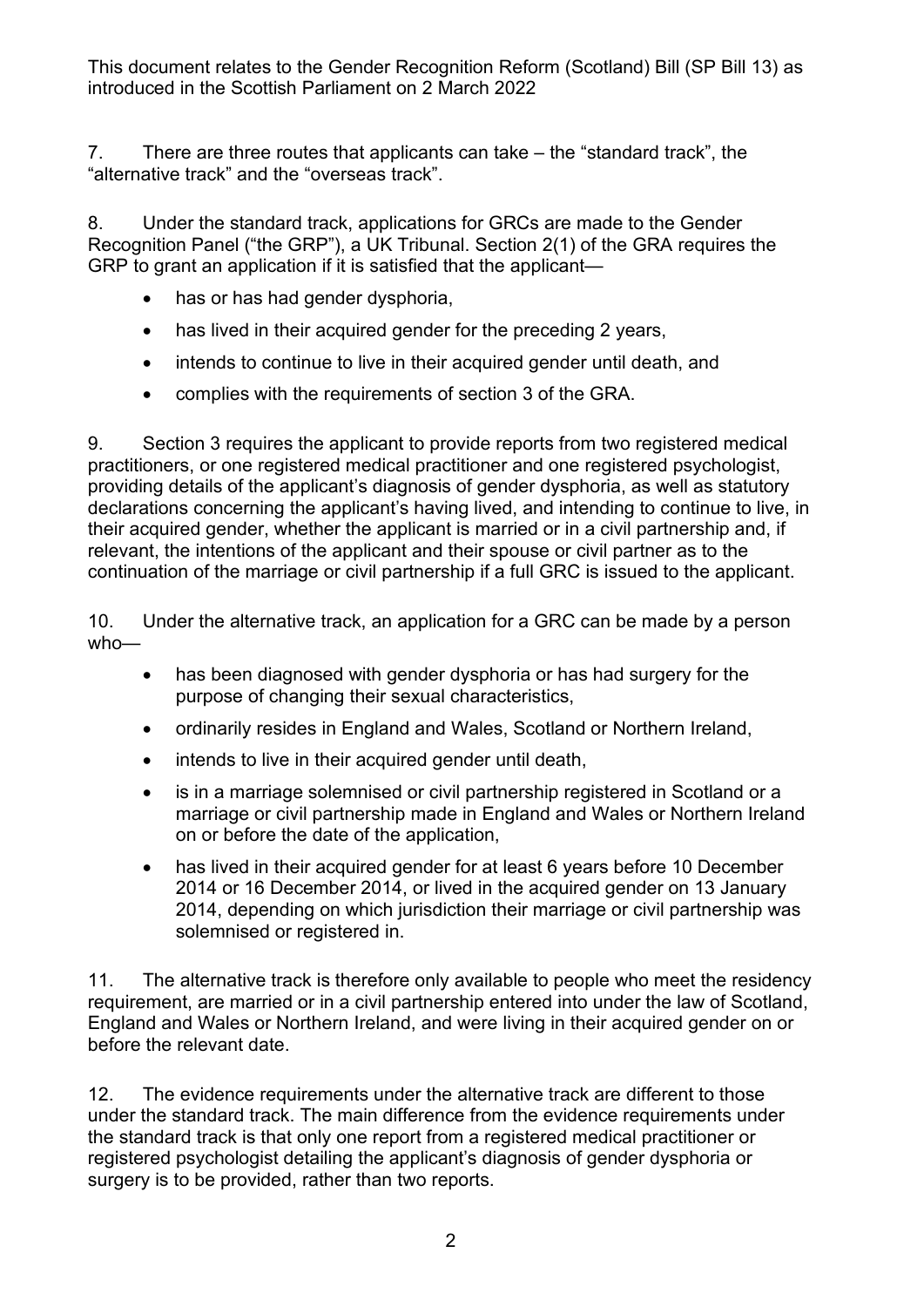7. There are three routes that applicants can take – the "standard track", the "alternative track" and the "overseas track".

8. Under the standard track, applications for GRCs are made to the Gender Recognition Panel ("the GRP"), a UK Tribunal. Section 2(1) of the GRA requires the GRP to grant an application if it is satisfied that the applicant—

- has or has had gender dysphoria,
- has lived in their acquired gender for the preceding 2 years,
- intends to continue to live in their acquired gender until death, and
- complies with the requirements of section 3 of the GRA.

9. Section 3 requires the applicant to provide reports from two registered medical practitioners, or one registered medical practitioner and one registered psychologist, providing details of the applicant's diagnosis of gender dysphoria, as well as statutory declarations concerning the applicant's having lived, and intending to continue to live, in their acquired gender, whether the applicant is married or in a civil partnership and, if relevant, the intentions of the applicant and their spouse or civil partner as to the continuation of the marriage or civil partnership if a full GRC is issued to the applicant.

10. Under the alternative track, an application for a GRC can be made by a person who—

- has been diagnosed with gender dysphoria or has had surgery for the purpose of changing their sexual characteristics,
- ordinarily resides in England and Wales, Scotland or Northern Ireland,
- intends to live in their acquired gender until death,
- is in a marriage solemnised or civil partnership registered in Scotland or a marriage or civil partnership made in England and Wales or Northern Ireland on or before the date of the application,
- has lived in their acquired gender for at least 6 years before 10 December 2014 or 16 December 2014, or lived in the acquired gender on 13 January 2014, depending on which jurisdiction their marriage or civil partnership was solemnised or registered in.

11. The alternative track is therefore only available to people who meet the residency requirement, are married or in a civil partnership entered into under the law of Scotland, England and Wales or Northern Ireland, and were living in their acquired gender on or before the relevant date.

12. The evidence requirements under the alternative track are different to those under the standard track. The main difference from the evidence requirements under the standard track is that only one report from a registered medical practitioner or registered psychologist detailing the applicant's diagnosis of gender dysphoria or surgery is to be provided, rather than two reports.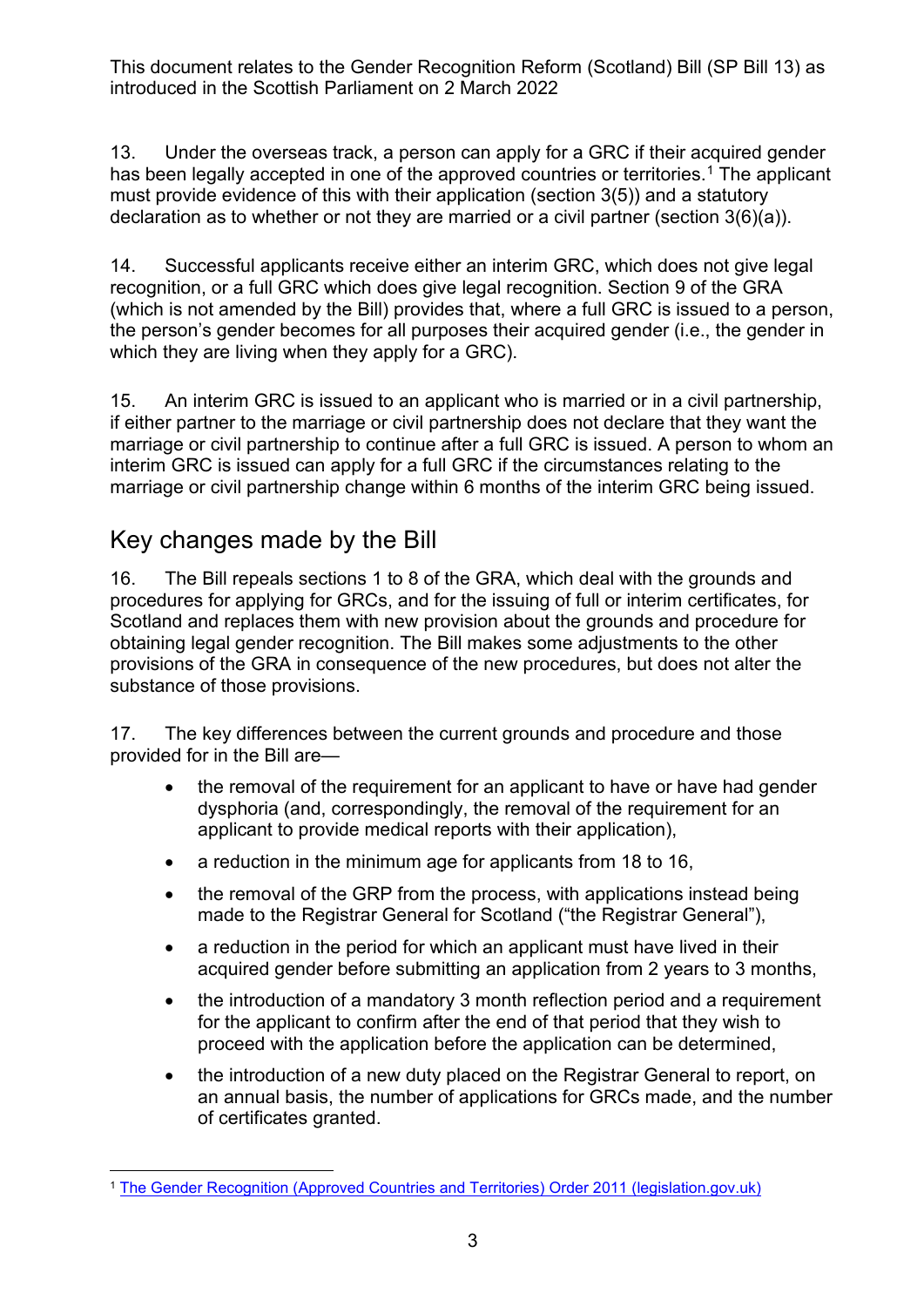13. Under the overseas track, a person can apply for a GRC if their acquired gender has been legally accepted in one of the approved countries or territories.<sup>[1](#page-2-0)</sup> The applicant must provide evidence of this with their application (section 3(5)) and a statutory declaration as to whether or not they are married or a civil partner (section 3(6)(a)).

14. Successful applicants receive either an interim GRC, which does not give legal recognition, or a full GRC which does give legal recognition. Section 9 of the GRA (which is not amended by the Bill) provides that, where a full GRC is issued to a person, the person's gender becomes for all purposes their acquired gender (i.e., the gender in which they are living when they apply for a GRC).

15. An interim GRC is issued to an applicant who is married or in a civil partnership, if either partner to the marriage or civil partnership does not declare that they want the marriage or civil partnership to continue after a full GRC is issued. A person to whom an interim GRC is issued can apply for a full GRC if the circumstances relating to the marriage or civil partnership change within 6 months of the interim GRC being issued.

#### Key changes made by the Bill

16. The Bill repeals sections 1 to 8 of the GRA, which deal with the grounds and procedures for applying for GRCs, and for the issuing of full or interim certificates, for Scotland and replaces them with new provision about the grounds and procedure for obtaining legal gender recognition. The Bill makes some adjustments to the other provisions of the GRA in consequence of the new procedures, but does not alter the substance of those provisions.

17. The key differences between the current grounds and procedure and those provided for in the Bill are—

- the removal of the requirement for an applicant to have or have had gender dysphoria (and, correspondingly, the removal of the requirement for an applicant to provide medical reports with their application),
- a reduction in the minimum age for applicants from 18 to 16,
- the removal of the GRP from the process, with applications instead being made to the Registrar General for Scotland ("the Registrar General"),
- a reduction in the period for which an applicant must have lived in their acquired gender before submitting an application from 2 years to 3 months,
- the introduction of a mandatory 3 month reflection period and a requirement for the applicant to confirm after the end of that period that they wish to proceed with the application before the application can be determined,
- the introduction of a new duty placed on the Registrar General to report, on an annual basis, the number of applications for GRCs made, and the number of certificates granted.

<span id="page-2-0"></span><sup>1</sup> [The Gender Recognition \(Approved Countries and Territories\) Order 2011 \(legislation.gov.uk\)](https://www.legislation.gov.uk/uksi/2011/1630/contents/made)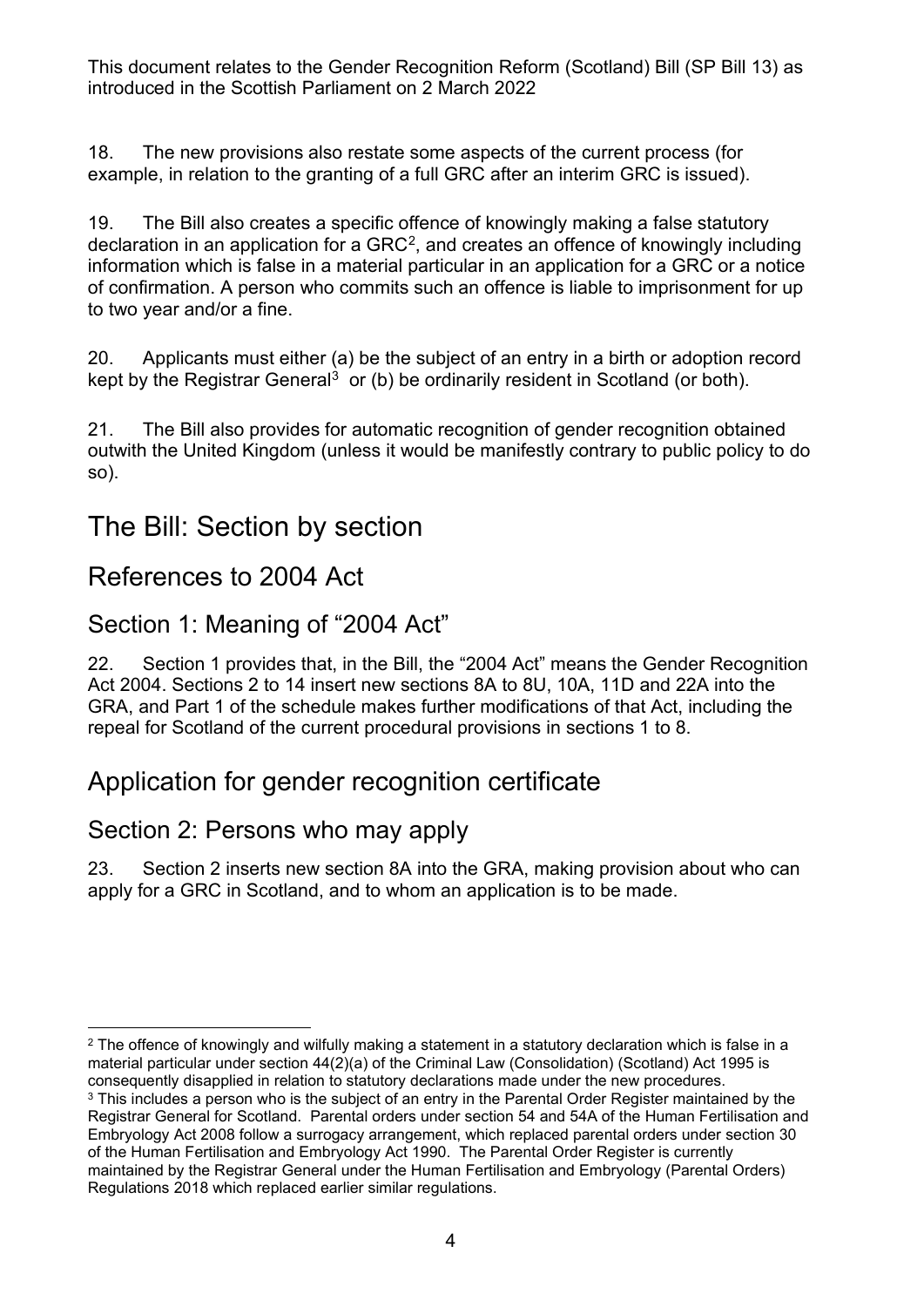18. The new provisions also restate some aspects of the current process (for example, in relation to the granting of a full GRC after an interim GRC is issued).

19. The Bill also creates a specific offence of knowingly making a false statutory declaration in an application for a  $GRC<sup>2</sup>$ , and creates an offence of knowingly including information which is false in a material particular in an application for a GRC or a notice of confirmation. A person who commits such an offence is liable to imprisonment for up to two year and/or a fine.

20. Applicants must either (a) be the subject of an entry in a birth or adoption record kept by the Registrar General<sup>[3](#page-3-1)</sup> or (b) be ordinarily resident in Scotland (or both).

21. The Bill also provides for automatic recognition of gender recognition obtained outwith the United Kingdom (unless it would be manifestly contrary to public policy to do so).

## The Bill: Section by section

#### References to 2004 Act

#### Section 1: Meaning of "2004 Act"

22. Section 1 provides that, in the Bill, the "2004 Act" means the Gender Recognition Act 2004. Sections 2 to 14 insert new sections 8A to 8U, 10A, 11D and 22A into the GRA, and Part 1 of the schedule makes further modifications of that Act, including the repeal for Scotland of the current procedural provisions in sections 1 to 8.

## Application for gender recognition certificate

#### Section 2: Persons who may apply

23. Section 2 inserts new section 8A into the GRA, making provision about who can apply for a GRC in Scotland, and to whom an application is to be made.

<span id="page-3-0"></span><sup>&</sup>lt;sup>2</sup> The offence of knowingly and wilfully making a statement in a statutory declaration which is false in a material particular under section 44(2)(a) of the Criminal Law (Consolidation) (Scotland) Act 1995 is consequently disapplied in relation to statutory declarations made under the new procedures.

<span id="page-3-1"></span><sup>&</sup>lt;sup>3</sup> This includes a person who is the subject of an entry in the Parental Order Register maintained by the Registrar General for Scotland. Parental orders under section 54 and 54A of the Human Fertilisation and Embryology Act 2008 follow a surrogacy arrangement, which replaced parental orders under section 30 of the Human Fertilisation and Embryology Act 1990. The Parental Order Register is currently maintained by the Registrar General under the Human Fertilisation and Embryology (Parental Orders) Regulations 2018 which replaced earlier similar regulations.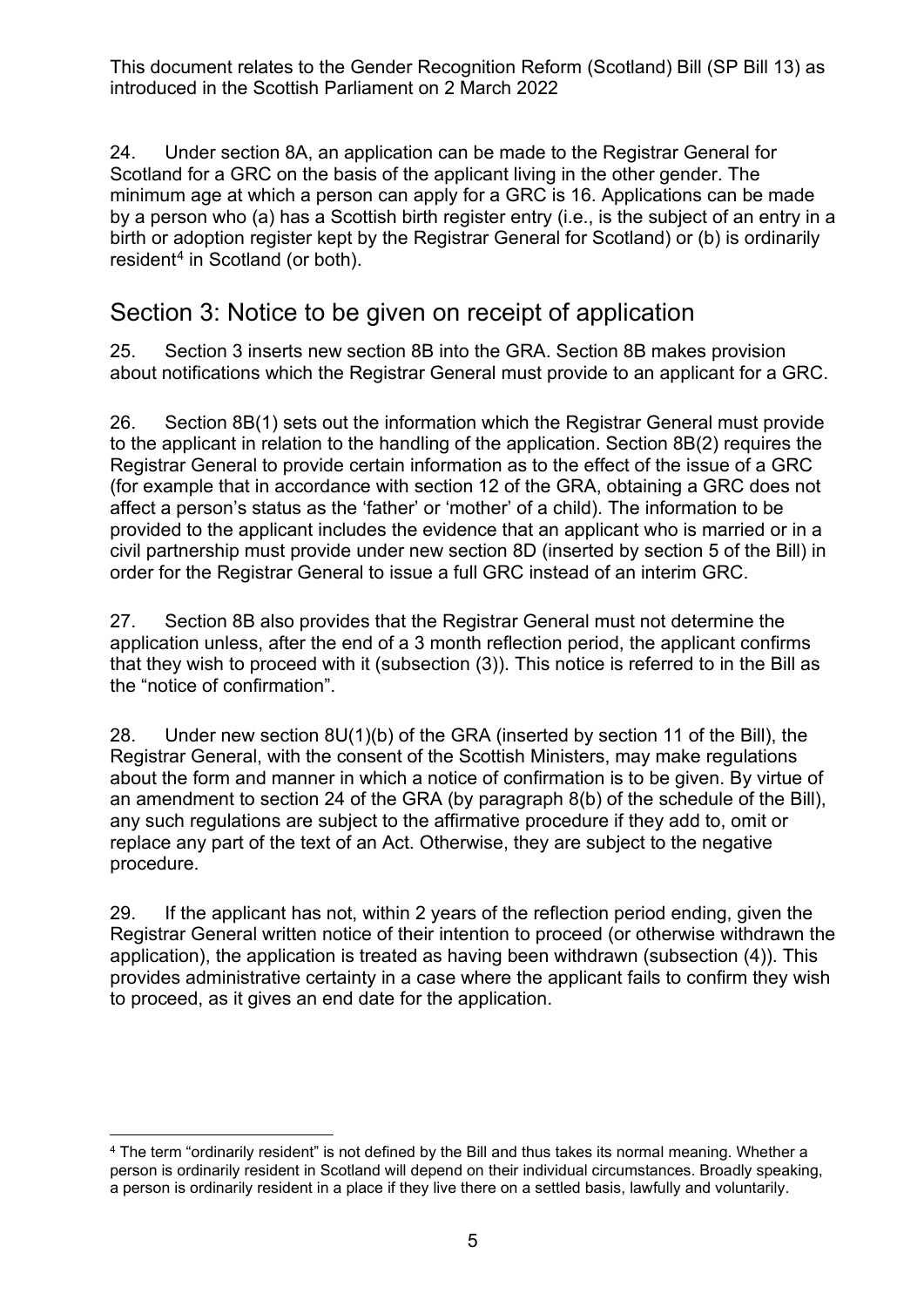24. Under section 8A, an application can be made to the Registrar General for Scotland for a GRC on the basis of the applicant living in the other gender. The minimum age at which a person can apply for a GRC is 16. Applications can be made by a person who (a) has a Scottish birth register entry (i.e., is the subject of an entry in a birth or adoption register kept by the Registrar General for Scotland) or (b) is ordinarily resident<sup>[4](#page-4-0)</sup> in Scotland (or both).

#### Section 3: Notice to be given on receipt of application

25. Section 3 inserts new section 8B into the GRA. Section 8B makes provision about notifications which the Registrar General must provide to an applicant for a GRC.

26. Section 8B(1) sets out the information which the Registrar General must provide to the applicant in relation to the handling of the application. Section 8B(2) requires the Registrar General to provide certain information as to the effect of the issue of a GRC (for example that in accordance with section 12 of the GRA, obtaining a GRC does not affect a person's status as the 'father' or 'mother' of a child). The information to be provided to the applicant includes the evidence that an applicant who is married or in a civil partnership must provide under new section 8D (inserted by section 5 of the Bill) in order for the Registrar General to issue a full GRC instead of an interim GRC.

27. Section 8B also provides that the Registrar General must not determine the application unless, after the end of a 3 month reflection period, the applicant confirms that they wish to proceed with it (subsection (3)). This notice is referred to in the Bill as the "notice of confirmation".

28. Under new section 8U(1)(b) of the GRA (inserted by section 11 of the Bill), the Registrar General, with the consent of the Scottish Ministers, may make regulations about the form and manner in which a notice of confirmation is to be given. By virtue of an amendment to section 24 of the GRA (by paragraph 8(b) of the schedule of the Bill), any such regulations are subject to the affirmative procedure if they add to, omit or replace any part of the text of an Act. Otherwise, they are subject to the negative procedure.

29. If the applicant has not, within 2 years of the reflection period ending, given the Registrar General written notice of their intention to proceed (or otherwise withdrawn the application), the application is treated as having been withdrawn (subsection (4)). This provides administrative certainty in a case where the applicant fails to confirm they wish to proceed, as it gives an end date for the application.

<span id="page-4-0"></span><sup>4</sup> The term "ordinarily resident" is not defined by the Bill and thus takes its normal meaning. Whether a person is ordinarily resident in Scotland will depend on their individual circumstances. Broadly speaking, a person is ordinarily resident in a place if they live there on a settled basis, lawfully and voluntarily.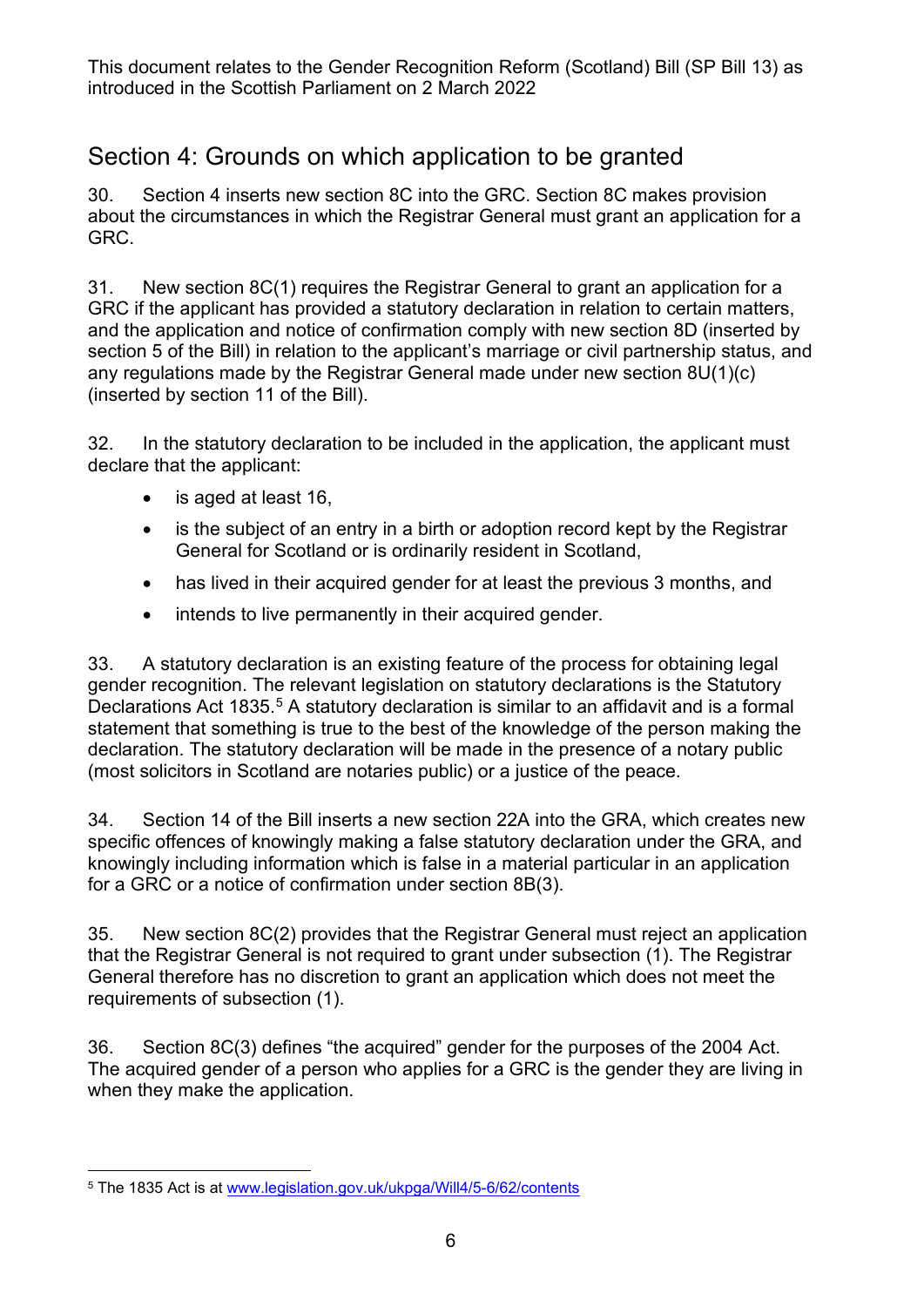### Section 4: Grounds on which application to be granted

30. Section 4 inserts new section 8C into the GRC. Section 8C makes provision about the circumstances in which the Registrar General must grant an application for a GRC.

31. New section 8C(1) requires the Registrar General to grant an application for a GRC if the applicant has provided a statutory declaration in relation to certain matters, and the application and notice of confirmation comply with new section 8D (inserted by section 5 of the Bill) in relation to the applicant's marriage or civil partnership status, and any regulations made by the Registrar General made under new section 8U(1)(c) (inserted by section 11 of the Bill).

32. In the statutory declaration to be included in the application, the applicant must declare that the applicant:

- is aged at least 16,
- is the subject of an entry in a birth or adoption record kept by the Registrar General for Scotland or is ordinarily resident in Scotland,
- has lived in their acquired gender for at least the previous 3 months, and
- intends to live permanently in their acquired gender.

33. A statutory declaration is an existing feature of the process for obtaining legal gender recognition. The relevant legislation on statutory declarations is the Statutory Declarations Act 183[5](#page-5-0).<sup>5</sup> A statutory declaration is similar to an affidavit and is a formal statement that something is true to the best of the knowledge of the person making the declaration. The statutory declaration will be made in the presence of a notary public (most solicitors in Scotland are notaries public) or a justice of the peace.

34. Section 14 of the Bill inserts a new section 22A into the GRA, which creates new specific offences of knowingly making a false statutory declaration under the GRA, and knowingly including information which is false in a material particular in an application for a GRC or a notice of confirmation under section 8B(3).

35. New section 8C(2) provides that the Registrar General must reject an application that the Registrar General is not required to grant under subsection (1). The Registrar General therefore has no discretion to grant an application which does not meet the requirements of subsection (1).

36. Section 8C(3) defines "the acquired" gender for the purposes of the 2004 Act. The acquired gender of a person who applies for a GRC is the gender they are living in when they make the application.

<span id="page-5-0"></span><sup>5</sup> The 1835 Act is at [www.legislation.gov.uk/ukpga/Will4/5-6/62/contents](http://www.legislation.gov.uk/ukpga/Will4/5-6/62/contents)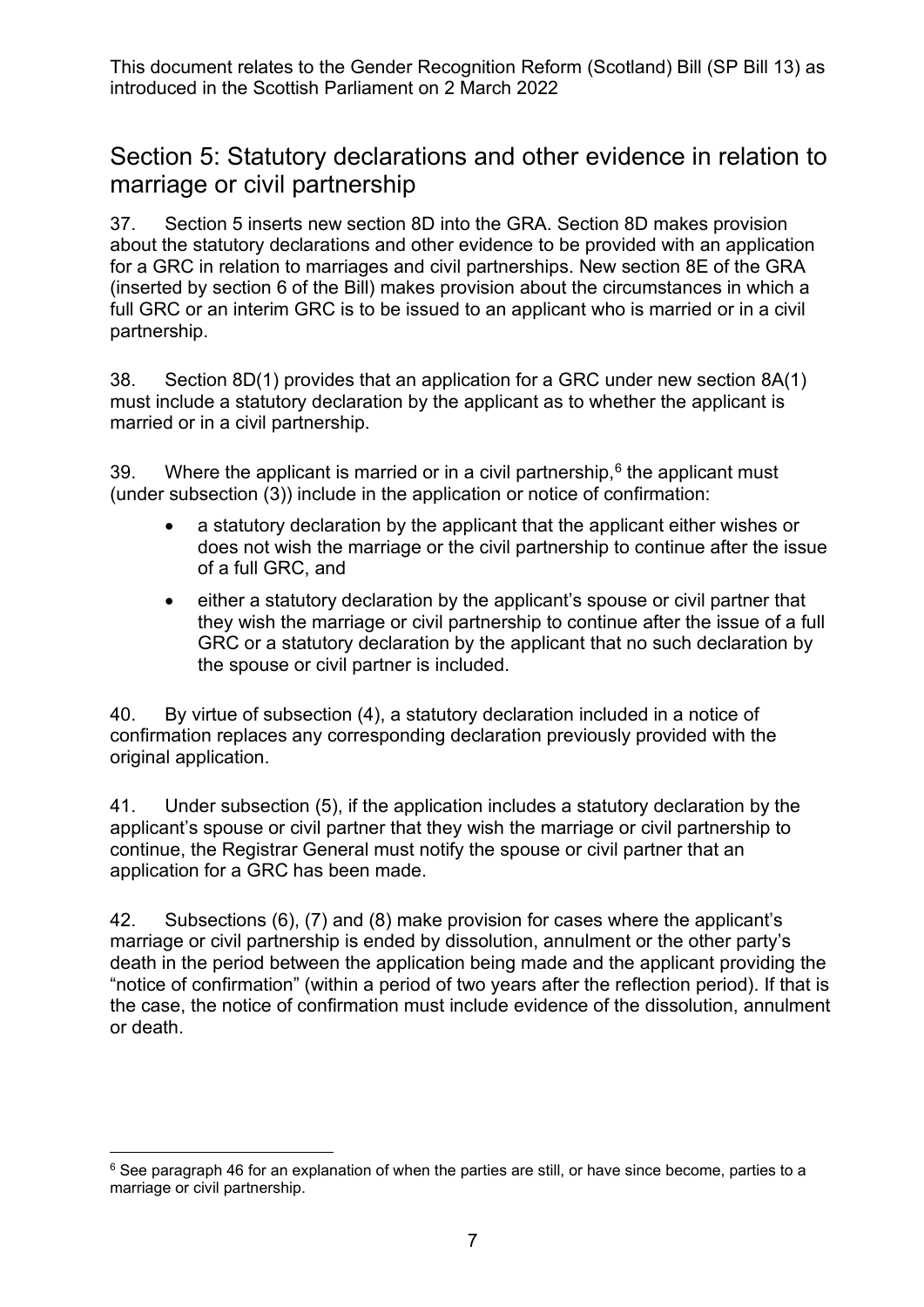#### Section 5: Statutory declarations and other evidence in relation to marriage or civil partnership

37. Section 5 inserts new section 8D into the GRA. Section 8D makes provision about the statutory declarations and other evidence to be provided with an application for a GRC in relation to marriages and civil partnerships. New section 8E of the GRA (inserted by section 6 of the Bill) makes provision about the circumstances in which a full GRC or an interim GRC is to be issued to an applicant who is married or in a civil partnership.

38. Section 8D(1) provides that an application for a GRC under new section 8A(1) must include a statutory declaration by the applicant as to whether the applicant is married or in a civil partnership.

39. Where the applicant is married or in a civil partnership,  $6$  the applicant must (under subsection (3)) include in the application or notice of confirmation:

- a statutory declaration by the applicant that the applicant either wishes or does not wish the marriage or the civil partnership to continue after the issue of a full GRC, and
- either a statutory declaration by the applicant's spouse or civil partner that they wish the marriage or civil partnership to continue after the issue of a full GRC or a statutory declaration by the applicant that no such declaration by the spouse or civil partner is included.

40. By virtue of subsection (4), a statutory declaration included in a notice of confirmation replaces any corresponding declaration previously provided with the original application.

41. Under subsection (5), if the application includes a statutory declaration by the applicant's spouse or civil partner that they wish the marriage or civil partnership to continue, the Registrar General must notify the spouse or civil partner that an application for a GRC has been made.

42. Subsections (6), (7) and (8) make provision for cases where the applicant's marriage or civil partnership is ended by dissolution, annulment or the other party's death in the period between the application being made and the applicant providing the "notice of confirmation" (within a period of two years after the reflection period). If that is the case, the notice of confirmation must include evidence of the dissolution, annulment or death.

<span id="page-6-0"></span> $6$  See paragraph [46](#page-7-0) for an explanation of when the parties are still, or have since become, parties to a marriage or civil partnership.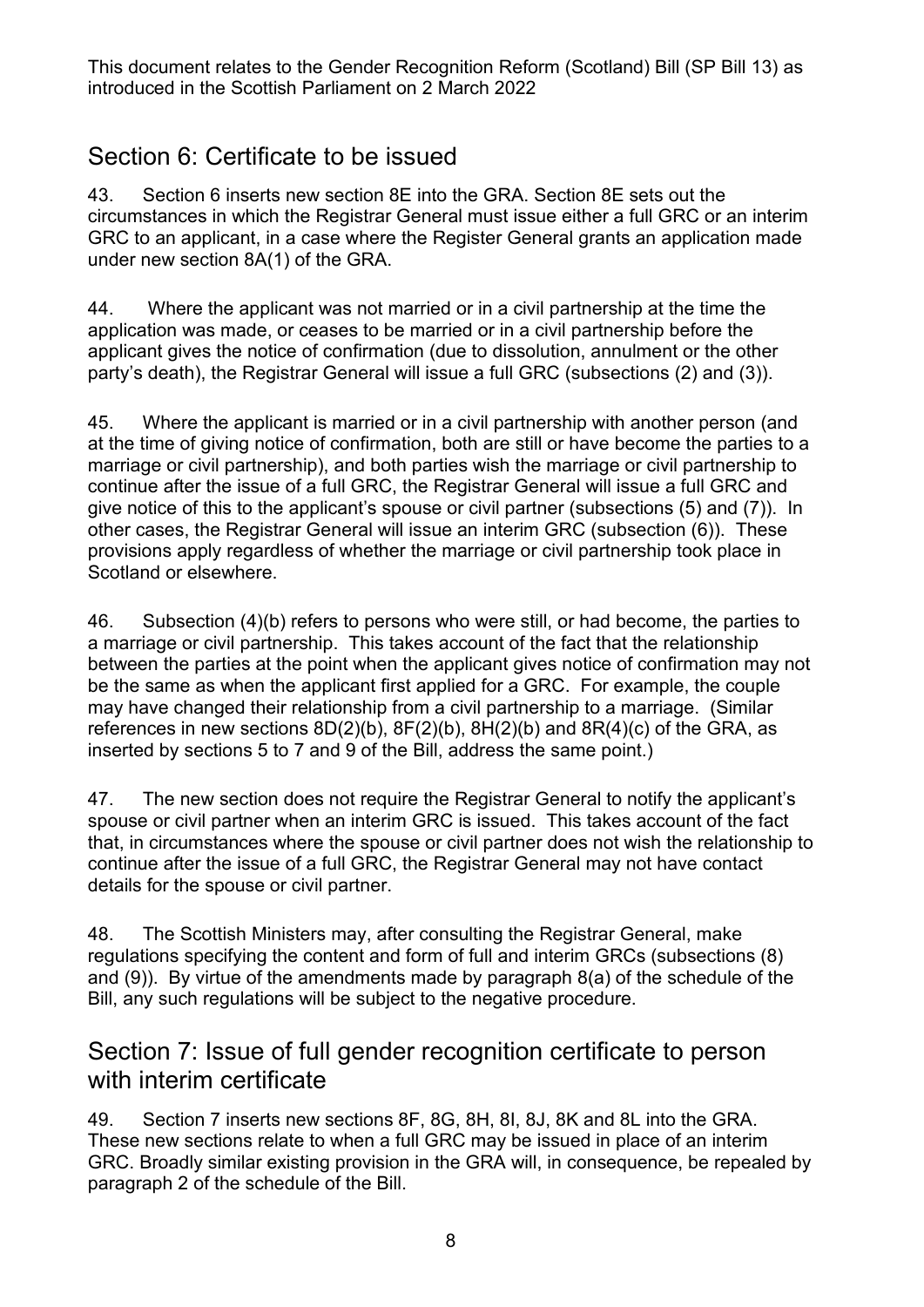#### Section 6: Certificate to be issued

43. Section 6 inserts new section 8E into the GRA. Section 8E sets out the circumstances in which the Registrar General must issue either a full GRC or an interim GRC to an applicant, in a case where the Register General grants an application made under new section 8A(1) of the GRA.

44. Where the applicant was not married or in a civil partnership at the time the application was made, or ceases to be married or in a civil partnership before the applicant gives the notice of confirmation (due to dissolution, annulment or the other party's death), the Registrar General will issue a full GRC (subsections (2) and (3)).

45. Where the applicant is married or in a civil partnership with another person (and at the time of giving notice of confirmation, both are still or have become the parties to a marriage or civil partnership), and both parties wish the marriage or civil partnership to continue after the issue of a full GRC, the Registrar General will issue a full GRC and give notice of this to the applicant's spouse or civil partner (subsections (5) and (7)). In other cases, the Registrar General will issue an interim GRC (subsection (6)). These provisions apply regardless of whether the marriage or civil partnership took place in Scotland or elsewhere.

<span id="page-7-0"></span>46. Subsection (4)(b) refers to persons who were still, or had become, the parties to a marriage or civil partnership. This takes account of the fact that the relationship between the parties at the point when the applicant gives notice of confirmation may not be the same as when the applicant first applied for a GRC. For example, the couple may have changed their relationship from a civil partnership to a marriage. (Similar references in new sections  $8D(2)(b)$ ,  $8F(2)(b)$ ,  $8H(2)(b)$  and  $8R(4)(c)$  of the GRA, as inserted by sections 5 to 7 and 9 of the Bill, address the same point.)

47. The new section does not require the Registrar General to notify the applicant's spouse or civil partner when an interim GRC is issued. This takes account of the fact that, in circumstances where the spouse or civil partner does not wish the relationship to continue after the issue of a full GRC, the Registrar General may not have contact details for the spouse or civil partner.

48. The Scottish Ministers may, after consulting the Registrar General, make regulations specifying the content and form of full and interim GRCs (subsections (8) and (9)). By virtue of the amendments made by paragraph 8(a) of the schedule of the Bill, any such regulations will be subject to the negative procedure.

#### Section 7: Issue of full gender recognition certificate to person with interim certificate

49. Section 7 inserts new sections 8F, 8G, 8H, 8I, 8J, 8K and 8L into the GRA. These new sections relate to when a full GRC may be issued in place of an interim GRC. Broadly similar existing provision in the GRA will, in consequence, be repealed by paragraph 2 of the schedule of the Bill.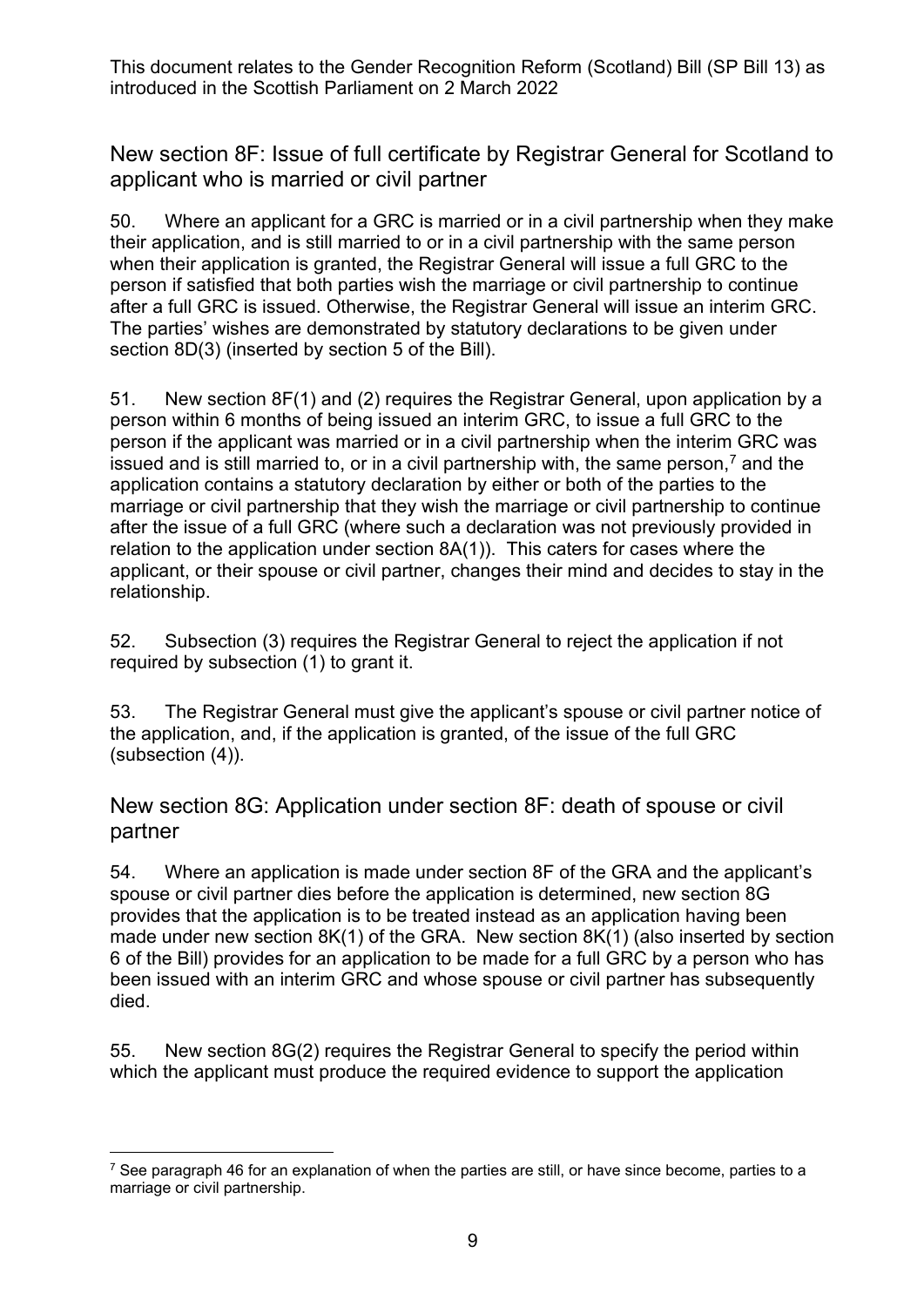New section 8F: Issue of full certificate by Registrar General for Scotland to applicant who is married or civil partner

50. Where an applicant for a GRC is married or in a civil partnership when they make their application, and is still married to or in a civil partnership with the same person when their application is granted, the Registrar General will issue a full GRC to the person if satisfied that both parties wish the marriage or civil partnership to continue after a full GRC is issued. Otherwise, the Registrar General will issue an interim GRC. The parties' wishes are demonstrated by statutory declarations to be given under section 8D(3) (inserted by section 5 of the Bill).

51. New section 8F(1) and (2) requires the Registrar General, upon application by a person within 6 months of being issued an interim GRC, to issue a full GRC to the person if the applicant was married or in a civil partnership when the interim GRC was issued and is still married to, or in a civil partnership with, the same person,<sup>7</sup> and the application contains a statutory declaration by either or both of the parties to the marriage or civil partnership that they wish the marriage or civil partnership to continue after the issue of a full GRC (where such a declaration was not previously provided in relation to the application under section 8A(1)). This caters for cases where the applicant, or their spouse or civil partner, changes their mind and decides to stay in the relationship.

52. Subsection (3) requires the Registrar General to reject the application if not required by subsection (1) to grant it.

53. The Registrar General must give the applicant's spouse or civil partner notice of the application, and, if the application is granted, of the issue of the full GRC (subsection (4)).

New section 8G: Application under section 8F: death of spouse or civil partner

54. Where an application is made under section 8F of the GRA and the applicant's spouse or civil partner dies before the application is determined, new section 8G provides that the application is to be treated instead as an application having been made under new section 8K(1) of the GRA. New section 8K(1) (also inserted by section 6 of the Bill) provides for an application to be made for a full GRC by a person who has been issued with an interim GRC and whose spouse or civil partner has subsequently died.

55. New section 8G(2) requires the Registrar General to specify the period within which the applicant must produce the required evidence to support the application

<span id="page-8-0"></span> $7$  See paragraph [46](#page-7-0) for an explanation of when the parties are still, or have since become, parties to a marriage or civil partnership.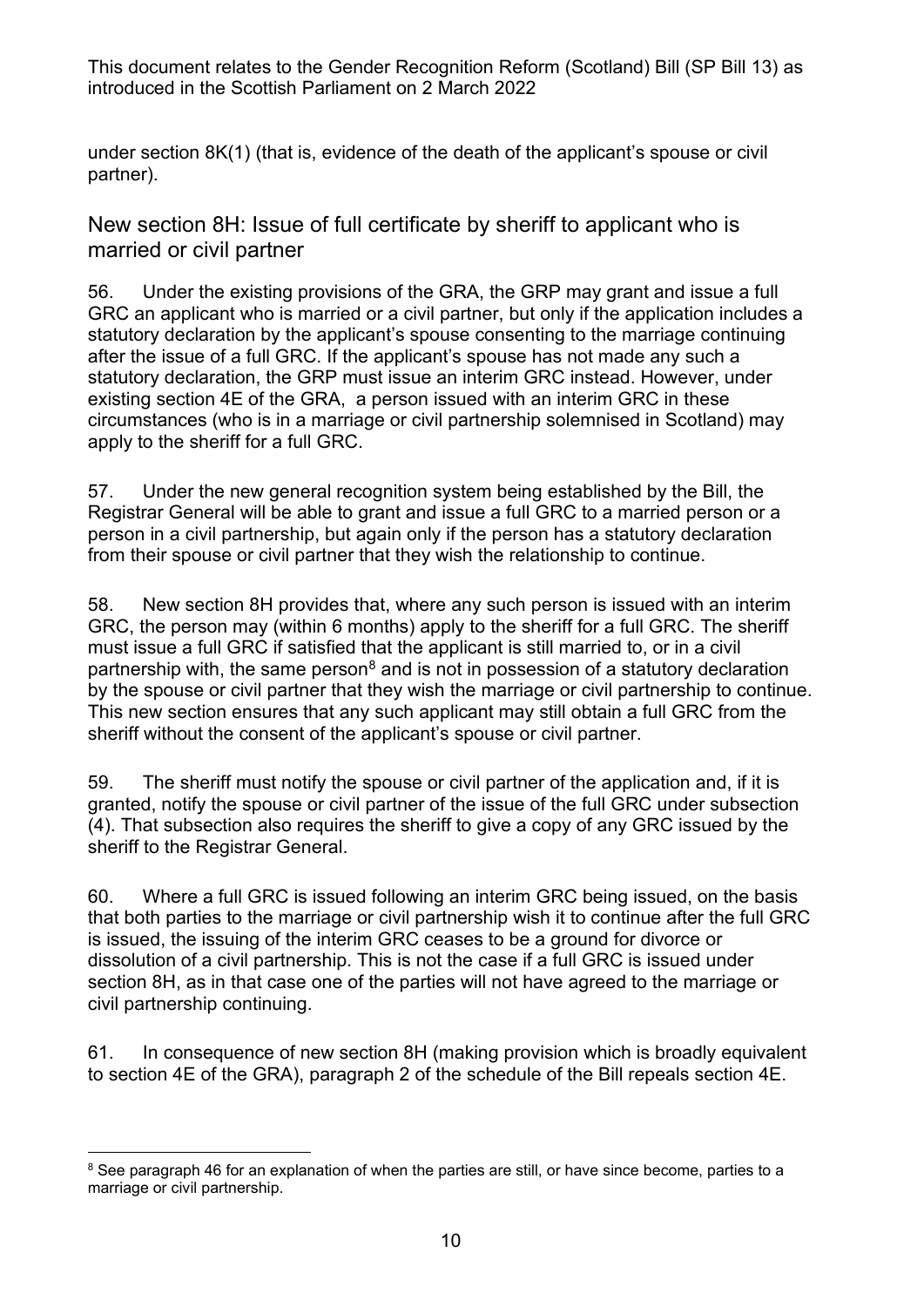under section 8K(1) (that is, evidence of the death of the applicant's spouse or civil partner).

New section 8H: Issue of full certificate by sheriff to applicant who is married or civil partner

56. Under the existing provisions of the GRA, the GRP may grant and issue a full GRC an applicant who is married or a civil partner, but only if the application includes a statutory declaration by the applicant's spouse consenting to the marriage continuing after the issue of a full GRC. If the applicant's spouse has not made any such a statutory declaration, the GRP must issue an interim GRC instead. However, under existing section 4E of the GRA, a person issued with an interim GRC in these circumstances (who is in a marriage or civil partnership solemnised in Scotland) may apply to the sheriff for a full GRC.

57. Under the new general recognition system being established by the Bill, the Registrar General will be able to grant and issue a full GRC to a married person or a person in a civil partnership, but again only if the person has a statutory declaration from their spouse or civil partner that they wish the relationship to continue.

58. New section 8H provides that, where any such person is issued with an interim GRC, the person may (within 6 months) apply to the sheriff for a full GRC. The sheriff must issue a full GRC if satisfied that the applicant is still married to, or in a civil partnership with, the same person $<sup>8</sup>$  $<sup>8</sup>$  $<sup>8</sup>$  and is not in possession of a statutory declaration</sup> by the spouse or civil partner that they wish the marriage or civil partnership to continue. This new section ensures that any such applicant may still obtain a full GRC from the sheriff without the consent of the applicant's spouse or civil partner.

59. The sheriff must notify the spouse or civil partner of the application and, if it is granted, notify the spouse or civil partner of the issue of the full GRC under subsection (4). That subsection also requires the sheriff to give a copy of any GRC issued by the sheriff to the Registrar General.

60. Where a full GRC is issued following an interim GRC being issued, on the basis that both parties to the marriage or civil partnership wish it to continue after the full GRC is issued, the issuing of the interim GRC ceases to be a ground for divorce or dissolution of a civil partnership. This is not the case if a full GRC is issued under section 8H, as in that case one of the parties will not have agreed to the marriage or civil partnership continuing.

61. In consequence of new section 8H (making provision which is broadly equivalent to section 4E of the GRA), paragraph 2 of the schedule of the Bill repeals section 4E.

<span id="page-9-0"></span><sup>&</sup>lt;sup>8</sup> See paragraph [46](#page-7-0) for an explanation of when the parties are still, or have since become, parties to a marriage or civil partnership.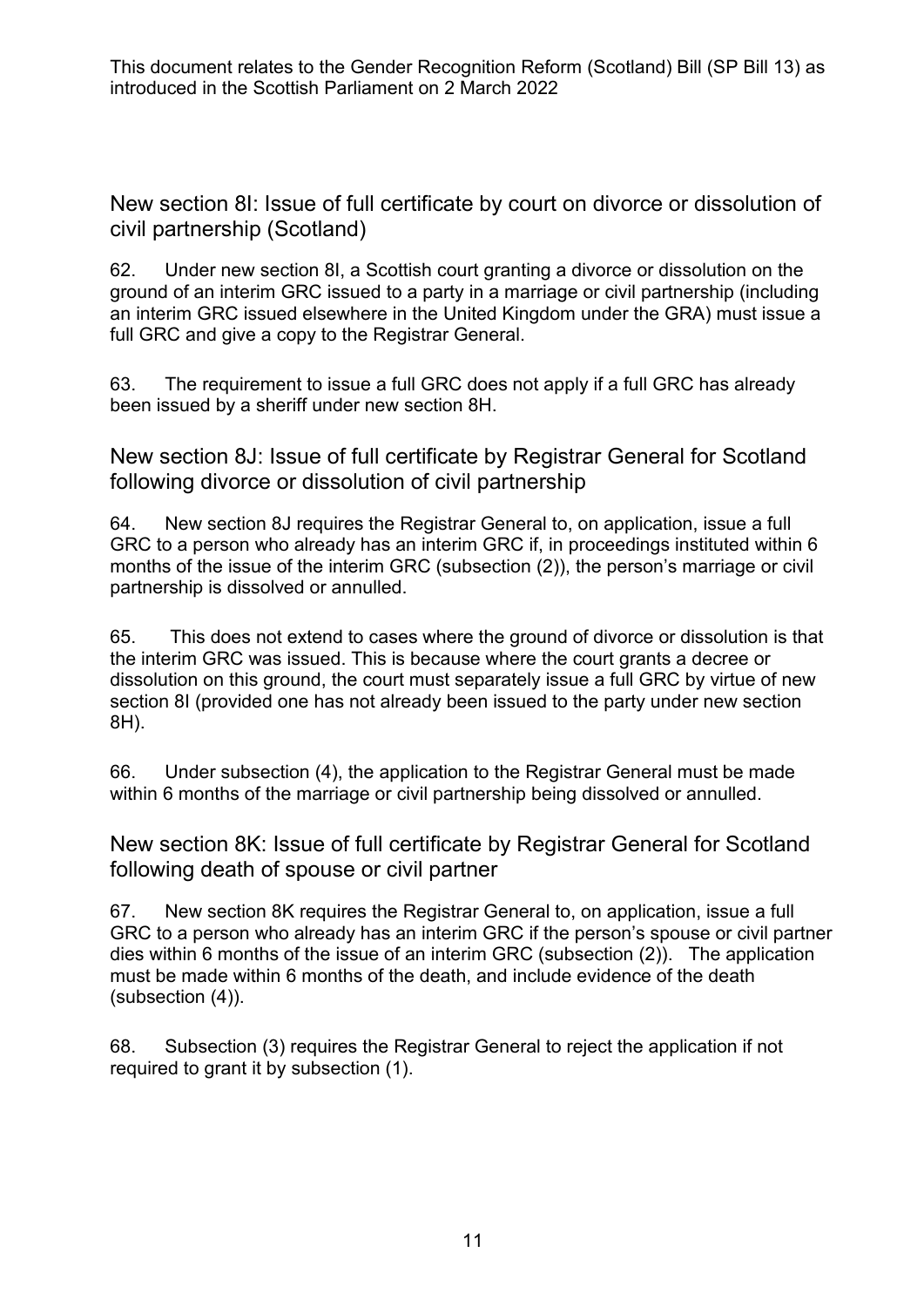New section 8I: Issue of full certificate by court on divorce or dissolution of civil partnership (Scotland)

62. Under new section 8I, a Scottish court granting a divorce or dissolution on the ground of an interim GRC issued to a party in a marriage or civil partnership (including an interim GRC issued elsewhere in the United Kingdom under the GRA) must issue a full GRC and give a copy to the Registrar General.

63. The requirement to issue a full GRC does not apply if a full GRC has already been issued by a sheriff under new section 8H.

New section 8J: Issue of full certificate by Registrar General for Scotland following divorce or dissolution of civil partnership

64. New section 8J requires the Registrar General to, on application, issue a full GRC to a person who already has an interim GRC if, in proceedings instituted within 6 months of the issue of the interim GRC (subsection (2)), the person's marriage or civil partnership is dissolved or annulled.

65. This does not extend to cases where the ground of divorce or dissolution is that the interim GRC was issued. This is because where the court grants a decree or dissolution on this ground, the court must separately issue a full GRC by virtue of new section 8I (provided one has not already been issued to the party under new section 8H).

66. Under subsection (4), the application to the Registrar General must be made within 6 months of the marriage or civil partnership being dissolved or annulled.

New section 8K: Issue of full certificate by Registrar General for Scotland following death of spouse or civil partner

67. New section 8K requires the Registrar General to, on application, issue a full GRC to a person who already has an interim GRC if the person's spouse or civil partner dies within 6 months of the issue of an interim GRC (subsection (2)). The application must be made within 6 months of the death, and include evidence of the death (subsection (4)).

68. Subsection (3) requires the Registrar General to reject the application if not required to grant it by subsection (1).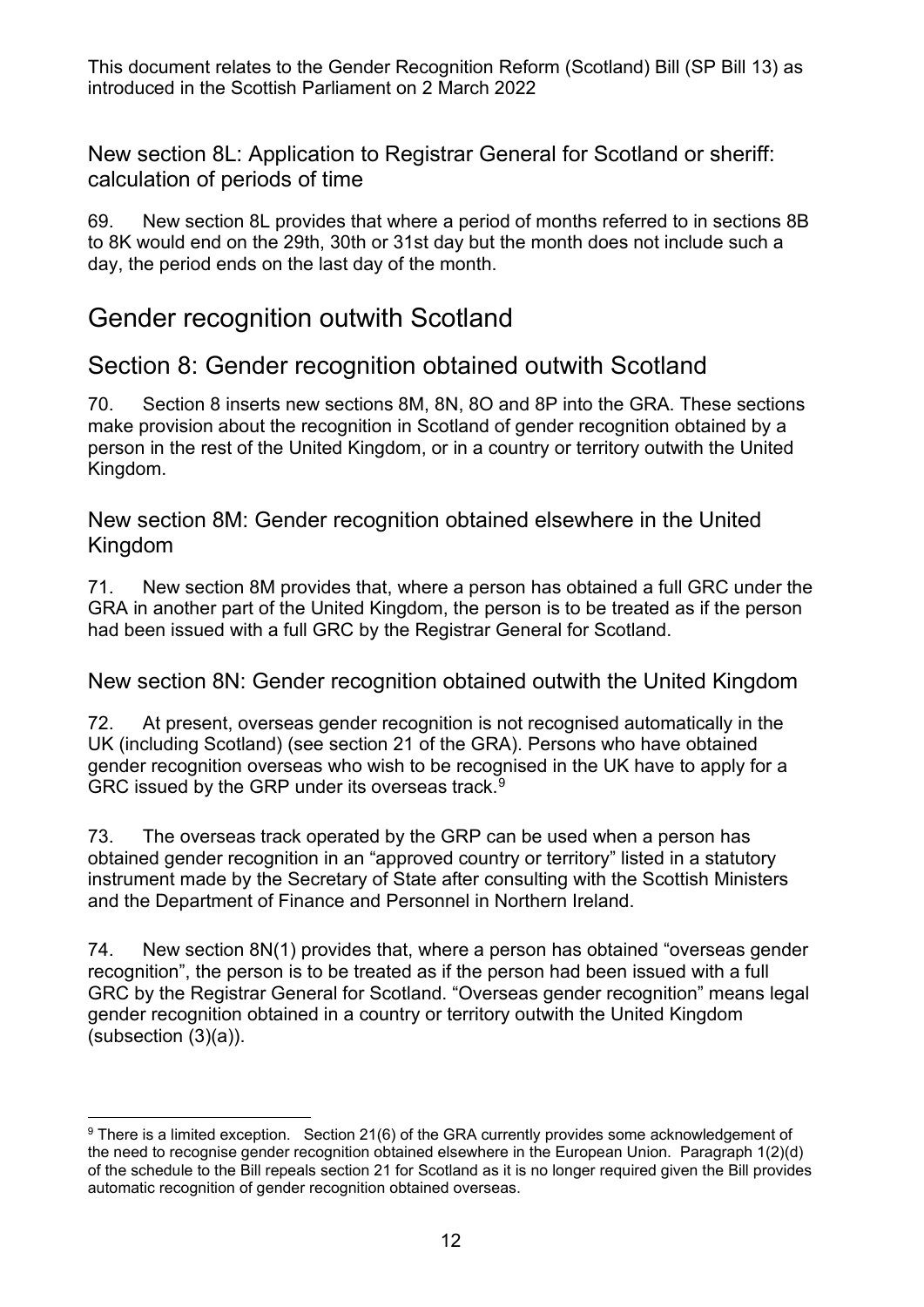New section 8L: Application to Registrar General for Scotland or sheriff: calculation of periods of time

69. New section 8L provides that where a period of months referred to in sections 8B to 8K would end on the 29th, 30th or 31st day but the month does not include such a day, the period ends on the last day of the month.

#### Gender recognition outwith Scotland

#### Section 8: Gender recognition obtained outwith Scotland

70. Section 8 inserts new sections 8M, 8N, 8O and 8P into the GRA. These sections make provision about the recognition in Scotland of gender recognition obtained by a person in the rest of the United Kingdom, or in a country or territory outwith the United Kingdom.

New section 8M: Gender recognition obtained elsewhere in the United Kingdom

71. New section 8M provides that, where a person has obtained a full GRC under the GRA in another part of the United Kingdom, the person is to be treated as if the person had been issued with a full GRC by the Registrar General for Scotland.

New section 8N: Gender recognition obtained outwith the United Kingdom

72. At present, overseas gender recognition is not recognised automatically in the UK (including Scotland) (see section 21 of the GRA). Persons who have obtained gender recognition overseas who wish to be recognised in the UK have to apply for a GRC issued by the GRP under its overseas track.<sup>9</sup>

73. The overseas track operated by the GRP can be used when a person has obtained gender recognition in an "approved country or territory" listed in a statutory instrument made by the Secretary of State after consulting with the Scottish Ministers and the Department of Finance and Personnel in Northern Ireland.

74. New section 8N(1) provides that, where a person has obtained "overseas gender recognition", the person is to be treated as if the person had been issued with a full GRC by the Registrar General for Scotland. "Overseas gender recognition" means legal gender recognition obtained in a country or territory outwith the United Kingdom (subsection (3)(a)).

<span id="page-11-0"></span><sup>&</sup>lt;sup>9</sup> There is a limited exception. Section 21(6) of the GRA currently provides some acknowledgement of the need to recognise gender recognition obtained elsewhere in the European Union. Paragraph 1(2)(d) of the schedule to the Bill repeals section 21 for Scotland as it is no longer required given the Bill provides automatic recognition of gender recognition obtained overseas.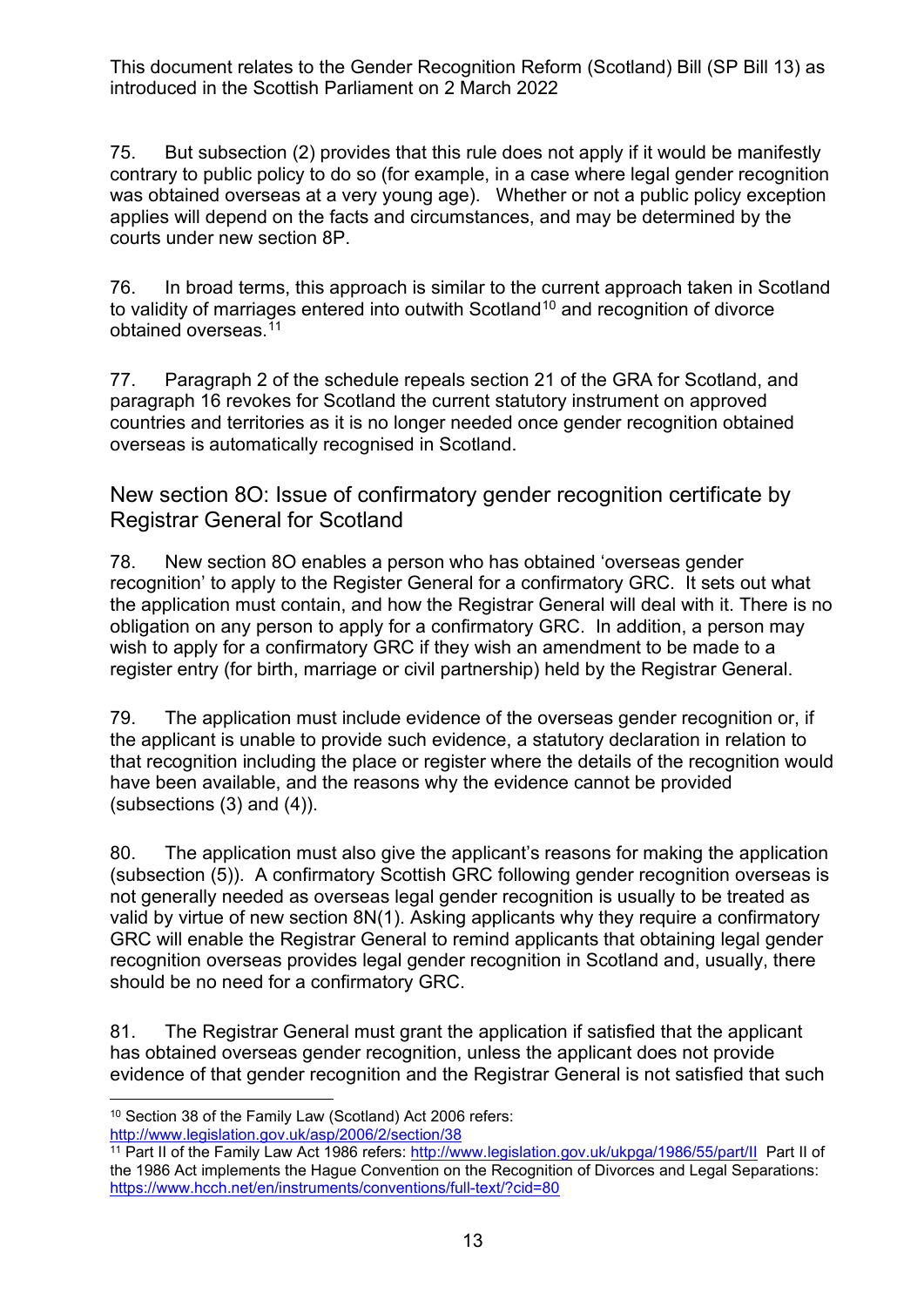75. But subsection (2) provides that this rule does not apply if it would be manifestly contrary to public policy to do so (for example, in a case where legal gender recognition was obtained overseas at a very young age). Whether or not a public policy exception applies will depend on the facts and circumstances, and may be determined by the courts under new section 8P.

76. In broad terms, this approach is similar to the current approach taken in Scotland to validity of marriages entered into outwith Scotland<sup>[10](#page-12-0)</sup> and recognition of divorce obtained overseas.[11](#page-12-1)

77. Paragraph 2 of the schedule repeals section 21 of the GRA for Scotland, and paragraph 16 revokes for Scotland the current statutory instrument on approved countries and territories as it is no longer needed once gender recognition obtained overseas is automatically recognised in Scotland.

New section 8O: Issue of confirmatory gender recognition certificate by Registrar General for Scotland

78. New section 8O enables a person who has obtained 'overseas gender recognition' to apply to the Register General for a confirmatory GRC. It sets out what the application must contain, and how the Registrar General will deal with it. There is no obligation on any person to apply for a confirmatory GRC. In addition, a person may wish to apply for a confirmatory GRC if they wish an amendment to be made to a register entry (for birth, marriage or civil partnership) held by the Registrar General.

79. The application must include evidence of the overseas gender recognition or, if the applicant is unable to provide such evidence, a statutory declaration in relation to that recognition including the place or register where the details of the recognition would have been available, and the reasons why the evidence cannot be provided (subsections (3) and (4)).

80. The application must also give the applicant's reasons for making the application (subsection (5)). A confirmatory Scottish GRC following gender recognition overseas is not generally needed as overseas legal gender recognition is usually to be treated as valid by virtue of new section 8N(1). Asking applicants why they require a confirmatory GRC will enable the Registrar General to remind applicants that obtaining legal gender recognition overseas provides legal gender recognition in Scotland and, usually, there should be no need for a confirmatory GRC.

81. The Registrar General must grant the application if satisfied that the applicant has obtained overseas gender recognition, unless the applicant does not provide evidence of that gender recognition and the Registrar General is not satisfied that such

<span id="page-12-0"></span><sup>10</sup> Section 38 of the Family Law (Scotland) Act 2006 refers: <http://www.legislation.gov.uk/asp/2006/2/section/38>

<span id="page-12-1"></span><sup>&</sup>lt;sup>11</sup> Part II of the Family Law Act 1986 refers: <http://www.legislation.gov.uk/ukpga/1986/55/part/II>Part II of the 1986 Act implements the Hague Convention on the Recognition of Divorces and Legal Separations: <https://www.hcch.net/en/instruments/conventions/full-text/?cid=80>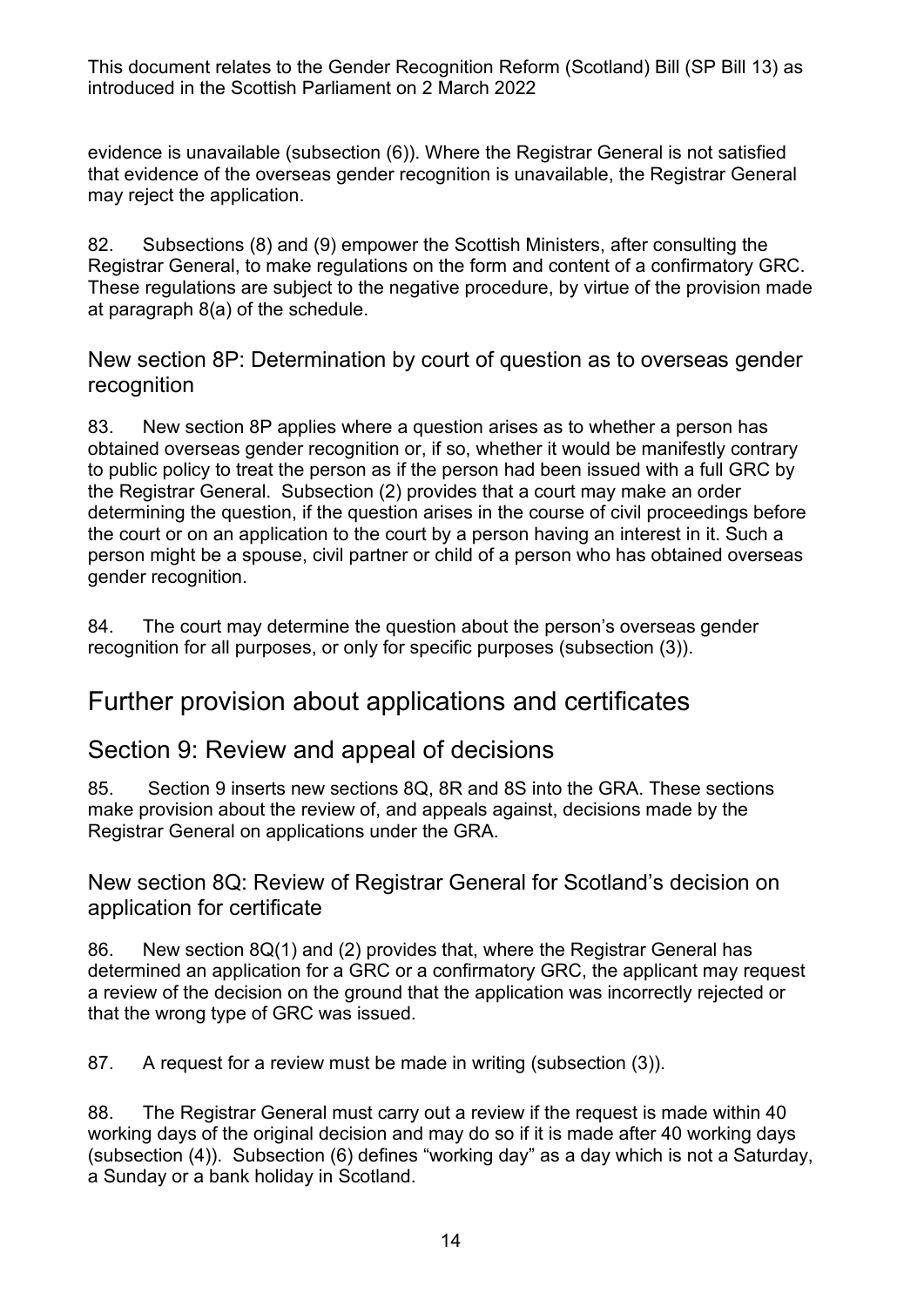evidence is unavailable (subsection (6)). Where the Registrar General is not satisfied that evidence of the overseas gender recognition is unavailable, the Registrar General may reject the application.

82. Subsections (8) and (9) empower the Scottish Ministers, after consulting the Registrar General, to make regulations on the form and content of a confirmatory GRC. These regulations are subject to the negative procedure, by virtue of the provision made at paragraph 8(a) of the schedule.

New section 8P: Determination by court of question as to overseas gender recognition

83. New section 8P applies where a question arises as to whether a person has obtained overseas gender recognition or, if so, whether it would be manifestly contrary to public policy to treat the person as if the person had been issued with a full GRC by the Registrar General. Subsection (2) provides that a court may make an order determining the question, if the question arises in the course of civil proceedings before the court or on an application to the court by a person having an interest in it. Such a person might be a spouse, civil partner or child of a person who has obtained overseas gender recognition.

84. The court may determine the question about the person's overseas gender recognition for all purposes, or only for specific purposes (subsection (3)).

#### Further provision about applications and certificates

#### Section 9: Review and appeal of decisions

85. Section 9 inserts new sections 8Q, 8R and 8S into the GRA. These sections make provision about the review of, and appeals against, decisions made by the Registrar General on applications under the GRA.

#### New section 8Q: Review of Registrar General for Scotland's decision on application for certificate

86. New section 8Q(1) and (2) provides that, where the Registrar General has determined an application for a GRC or a confirmatory GRC, the applicant may request a review of the decision on the ground that the application was incorrectly rejected or that the wrong type of GRC was issued.

87. A request for a review must be made in writing (subsection (3)).

88. The Registrar General must carry out a review if the request is made within 40 working days of the original decision and may do so if it is made after 40 working days (subsection (4)). Subsection (6) defines "working day" as a day which is not a Saturday, a Sunday or a bank holiday in Scotland.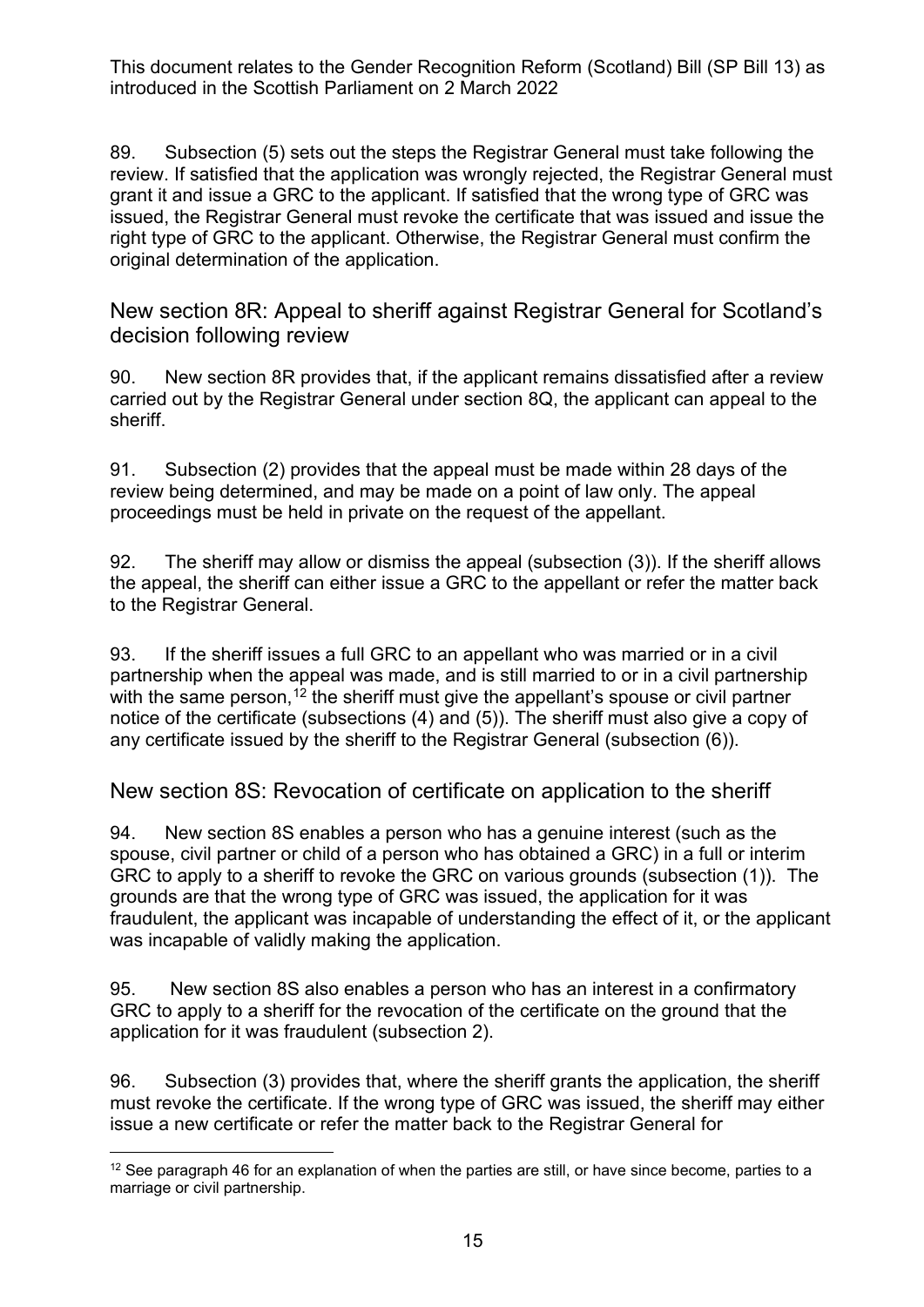89. Subsection (5) sets out the steps the Registrar General must take following the review. If satisfied that the application was wrongly rejected, the Registrar General must grant it and issue a GRC to the applicant. If satisfied that the wrong type of GRC was issued, the Registrar General must revoke the certificate that was issued and issue the right type of GRC to the applicant. Otherwise, the Registrar General must confirm the original determination of the application.

New section 8R: Appeal to sheriff against Registrar General for Scotland's decision following review

90. New section 8R provides that, if the applicant remains dissatisfied after a review carried out by the Registrar General under section 8Q, the applicant can appeal to the sheriff.

91. Subsection (2) provides that the appeal must be made within 28 days of the review being determined, and may be made on a point of law only. The appeal proceedings must be held in private on the request of the appellant.

92. The sheriff may allow or dismiss the appeal (subsection (3)). If the sheriff allows the appeal, the sheriff can either issue a GRC to the appellant or refer the matter back to the Registrar General.

93. If the sheriff issues a full GRC to an appellant who was married or in a civil partnership when the appeal was made, and is still married to or in a civil partnership with the same person,  $12$  the sheriff must give the appellant's spouse or civil partner notice of the certificate (subsections (4) and (5)). The sheriff must also give a copy of any certificate issued by the sheriff to the Registrar General (subsection (6)).

New section 8S: Revocation of certificate on application to the sheriff

94. New section 8S enables a person who has a genuine interest (such as the spouse, civil partner or child of a person who has obtained a GRC) in a full or interim GRC to apply to a sheriff to revoke the GRC on various grounds (subsection (1)). The grounds are that the wrong type of GRC was issued, the application for it was fraudulent, the applicant was incapable of understanding the effect of it, or the applicant was incapable of validly making the application.

95. New section 8S also enables a person who has an interest in a confirmatory GRC to apply to a sheriff for the revocation of the certificate on the ground that the application for it was fraudulent (subsection 2).

96. Subsection (3) provides that, where the sheriff grants the application, the sheriff must revoke the certificate. If the wrong type of GRC was issued, the sheriff may either issue a new certificate or refer the matter back to the Registrar General for

<span id="page-14-0"></span> $12$  See paragraph [46](#page-7-0) for an explanation of when the parties are still, or have since become, parties to a marriage or civil partnership.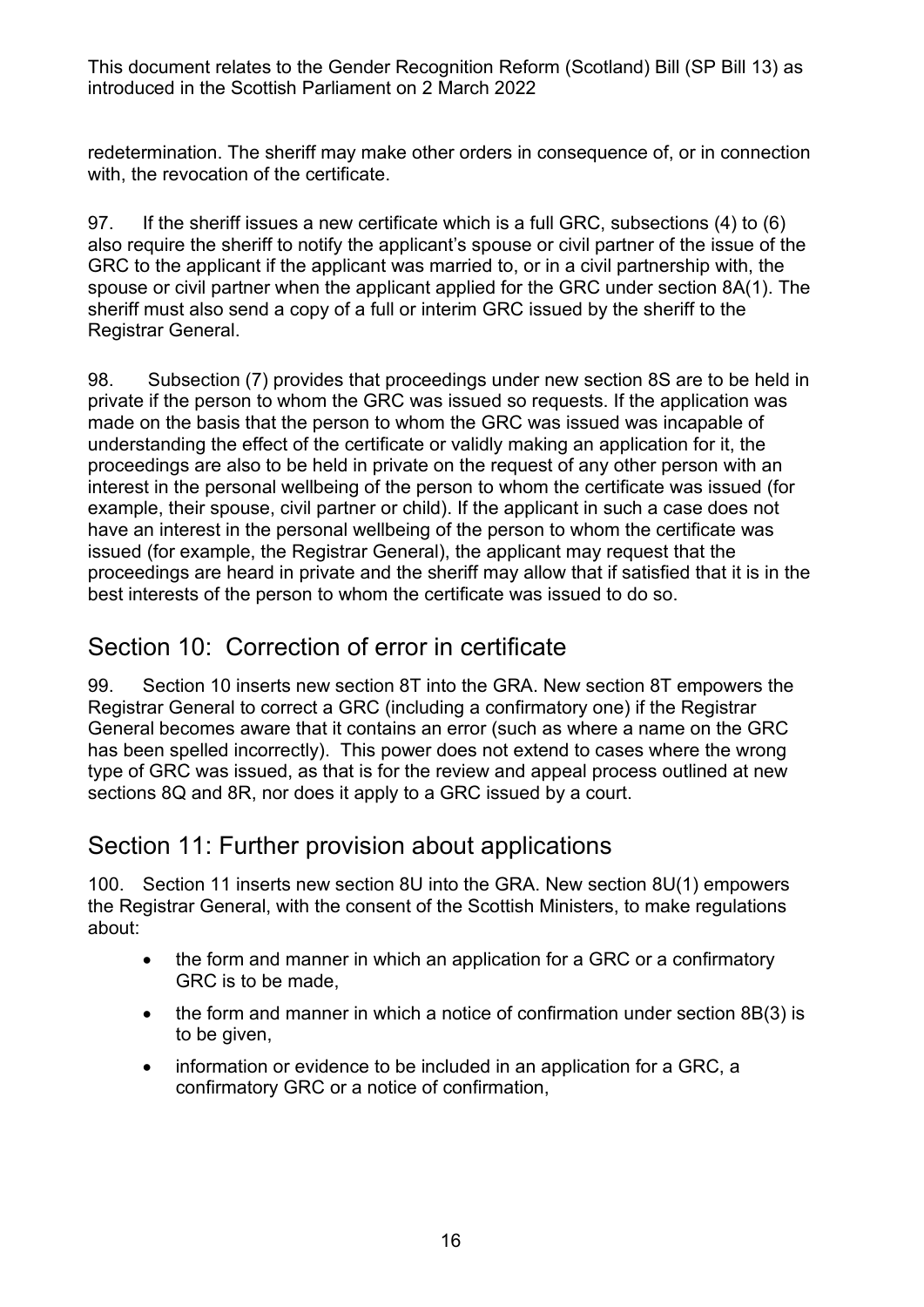redetermination. The sheriff may make other orders in consequence of, or in connection with, the revocation of the certificate.

97. If the sheriff issues a new certificate which is a full GRC, subsections (4) to (6) also require the sheriff to notify the applicant's spouse or civil partner of the issue of the GRC to the applicant if the applicant was married to, or in a civil partnership with, the spouse or civil partner when the applicant applied for the GRC under section 8A(1). The sheriff must also send a copy of a full or interim GRC issued by the sheriff to the Registrar General.

98. Subsection (7) provides that proceedings under new section 8S are to be held in private if the person to whom the GRC was issued so requests. If the application was made on the basis that the person to whom the GRC was issued was incapable of understanding the effect of the certificate or validly making an application for it, the proceedings are also to be held in private on the request of any other person with an interest in the personal wellbeing of the person to whom the certificate was issued (for example, their spouse, civil partner or child). If the applicant in such a case does not have an interest in the personal wellbeing of the person to whom the certificate was issued (for example, the Registrar General), the applicant may request that the proceedings are heard in private and the sheriff may allow that if satisfied that it is in the best interests of the person to whom the certificate was issued to do so.

#### Section 10: Correction of error in certificate

99. Section 10 inserts new section 8T into the GRA. New section 8T empowers the Registrar General to correct a GRC (including a confirmatory one) if the Registrar General becomes aware that it contains an error (such as where a name on the GRC has been spelled incorrectly). This power does not extend to cases where the wrong type of GRC was issued, as that is for the review and appeal process outlined at new sections 8Q and 8R, nor does it apply to a GRC issued by a court.

#### Section 11: Further provision about applications

100. Section 11 inserts new section 8U into the GRA. New section 8U(1) empowers the Registrar General, with the consent of the Scottish Ministers, to make regulations about:

- the form and manner in which an application for a GRC or a confirmatory GRC is to be made,
- the form and manner in which a notice of confirmation under section 8B(3) is to be given,
- information or evidence to be included in an application for a GRC, a confirmatory GRC or a notice of confirmation,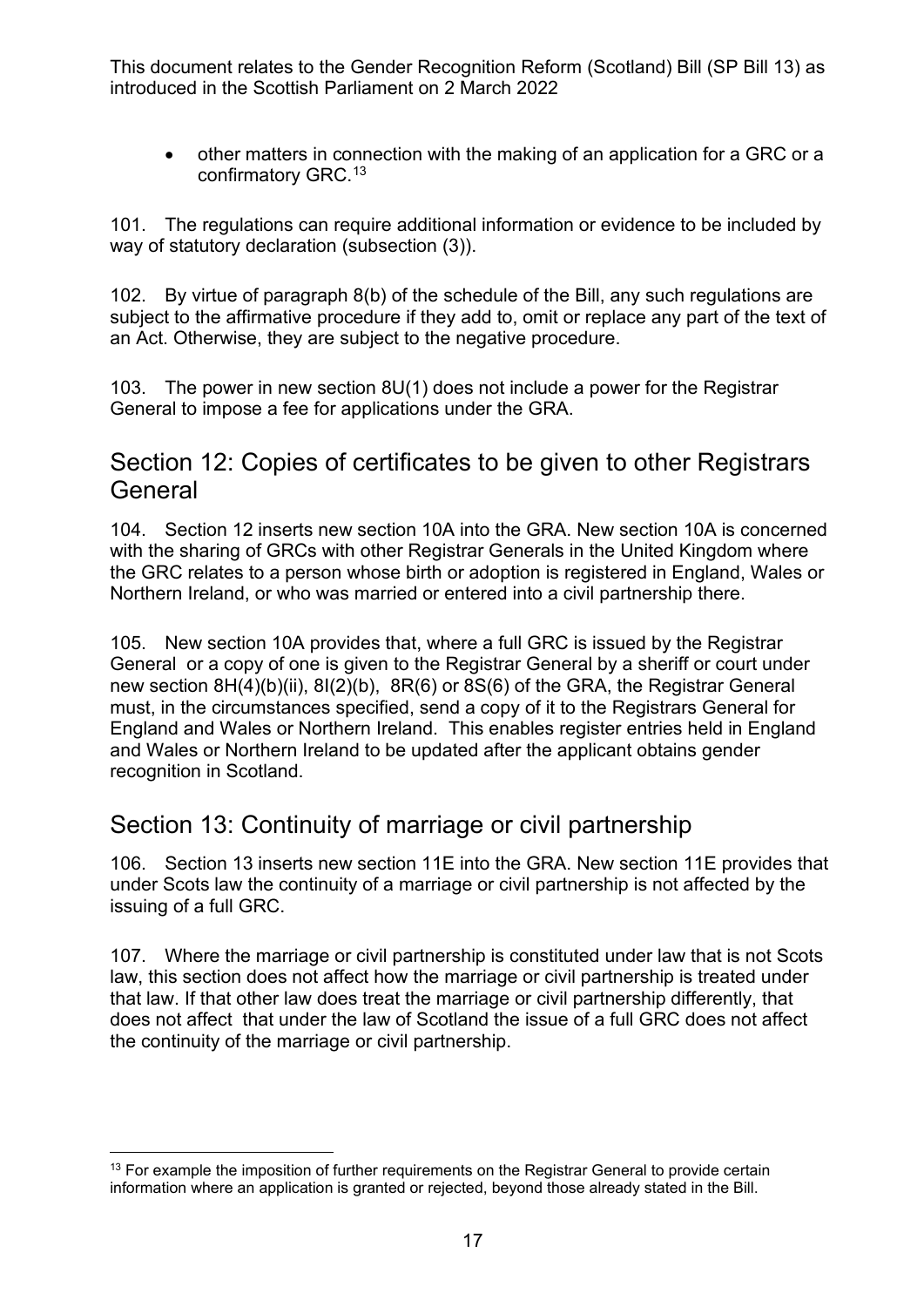• other matters in connection with the making of an application for a GRC or a confirmatory GRC. [13](#page-16-0)

101. The regulations can require additional information or evidence to be included by way of statutory declaration (subsection (3)).

102. By virtue of paragraph 8(b) of the schedule of the Bill, any such regulations are subject to the affirmative procedure if they add to, omit or replace any part of the text of an Act. Otherwise, they are subject to the negative procedure.

103. The power in new section 8U(1) does not include a power for the Registrar General to impose a fee for applications under the GRA.

#### Section 12: Copies of certificates to be given to other Registrars **General**

104. Section 12 inserts new section 10A into the GRA. New section 10A is concerned with the sharing of GRCs with other Registrar Generals in the United Kingdom where the GRC relates to a person whose birth or adoption is registered in England, Wales or Northern Ireland, or who was married or entered into a civil partnership there.

105. New section 10A provides that, where a full GRC is issued by the Registrar General or a copy of one is given to the Registrar General by a sheriff or court under new section 8H(4)(b)(ii), 8I(2)(b), 8R(6) or 8S(6) of the GRA, the Registrar General must, in the circumstances specified, send a copy of it to the Registrars General for England and Wales or Northern Ireland. This enables register entries held in England and Wales or Northern Ireland to be updated after the applicant obtains gender recognition in Scotland.

#### Section 13: Continuity of marriage or civil partnership

106. Section 13 inserts new section 11E into the GRA. New section 11E provides that under Scots law the continuity of a marriage or civil partnership is not affected by the issuing of a full GRC.

107. Where the marriage or civil partnership is constituted under law that is not Scots law, this section does not affect how the marriage or civil partnership is treated under that law. If that other law does treat the marriage or civil partnership differently, that does not affect that under the law of Scotland the issue of a full GRC does not affect the continuity of the marriage or civil partnership.

<span id="page-16-0"></span><sup>&</sup>lt;sup>13</sup> For example the imposition of further requirements on the Registrar General to provide certain information where an application is granted or rejected, beyond those already stated in the Bill.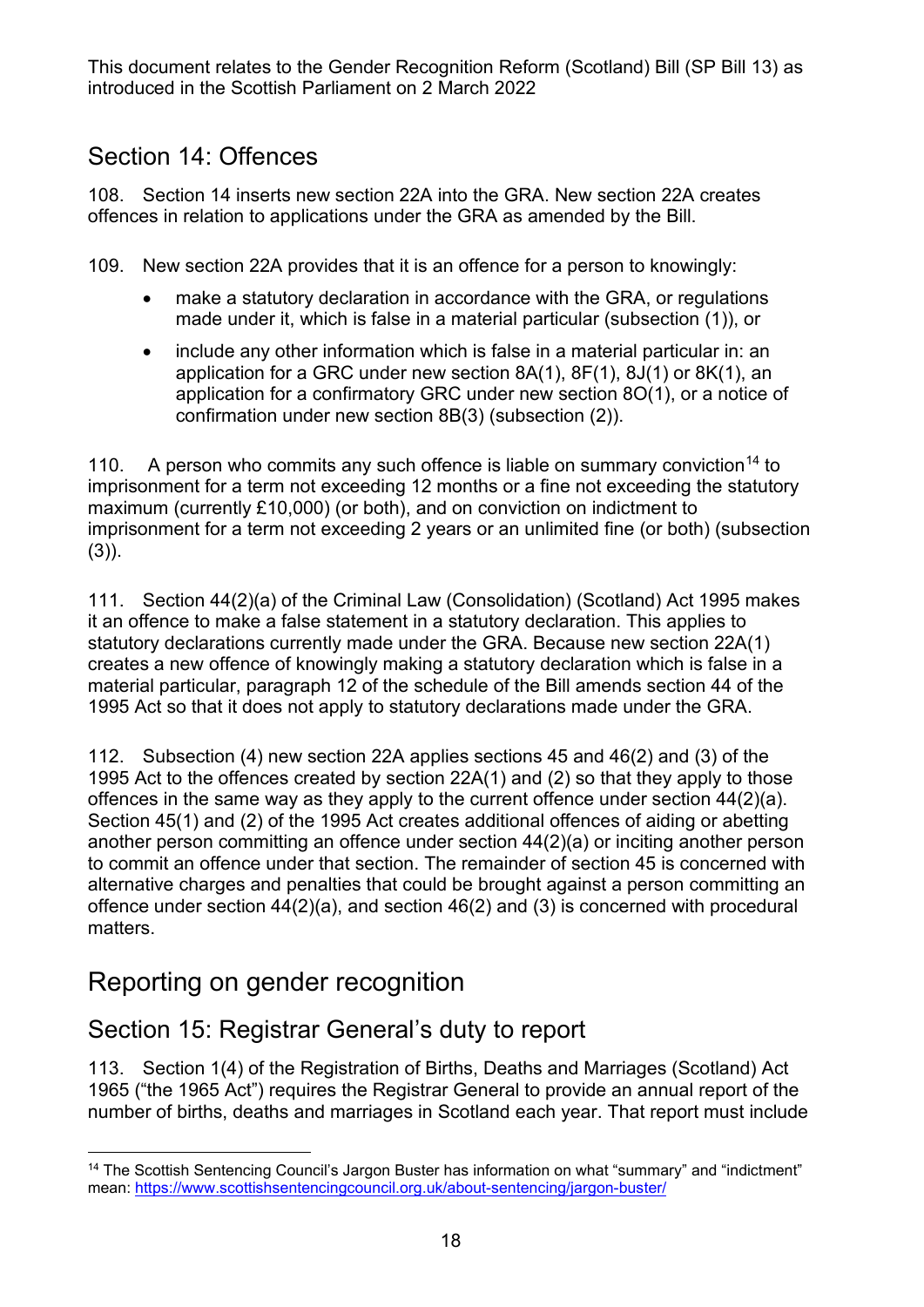#### Section 14: Offences

108. Section 14 inserts new section 22A into the GRA. New section 22A creates offences in relation to applications under the GRA as amended by the Bill.

109. New section 22A provides that it is an offence for a person to knowingly:

- make a statutory declaration in accordance with the GRA, or regulations made under it, which is false in a material particular (subsection (1)), or
- include any other information which is false in a material particular in: an application for a GRC under new section 8A(1), 8F(1), 8J(1) or 8K(1), an application for a confirmatory GRC under new section 8O(1), or a notice of confirmation under new section 8B(3) (subsection (2)).

110. A person who commits any such offence is liable on summary conviction<sup>[14](#page-17-0)</sup> to imprisonment for a term not exceeding 12 months or a fine not exceeding the statutory maximum (currently £10,000) (or both), and on conviction on indictment to imprisonment for a term not exceeding 2 years or an unlimited fine (or both) (subsection (3)).

111. Section 44(2)(a) of the Criminal Law (Consolidation) (Scotland) Act 1995 makes it an offence to make a false statement in a statutory declaration. This applies to statutory declarations currently made under the GRA. Because new section 22A(1) creates a new offence of knowingly making a statutory declaration which is false in a material particular, paragraph 12 of the schedule of the Bill amends section 44 of the 1995 Act so that it does not apply to statutory declarations made under the GRA.

112. Subsection (4) new section 22A applies sections 45 and 46(2) and (3) of the 1995 Act to the offences created by section 22A(1) and (2) so that they apply to those offences in the same way as they apply to the current offence under section 44(2)(a). Section 45(1) and (2) of the 1995 Act creates additional offences of aiding or abetting another person committing an offence under section 44(2)(a) or inciting another person to commit an offence under that section. The remainder of section 45 is concerned with alternative charges and penalties that could be brought against a person committing an offence under section 44(2)(a), and section 46(2) and (3) is concerned with procedural matters.

## Reporting on gender recognition

## Section 15: Registrar General's duty to report

113. Section 1(4) of the Registration of Births, Deaths and Marriages (Scotland) Act 1965 ("the 1965 Act") requires the Registrar General to provide an annual report of the number of births, deaths and marriages in Scotland each year. That report must include

<span id="page-17-0"></span><sup>14</sup> The Scottish Sentencing Council's Jargon Buster has information on what "summary" and "indictment" mean:<https://www.scottishsentencingcouncil.org.uk/about-sentencing/jargon-buster/>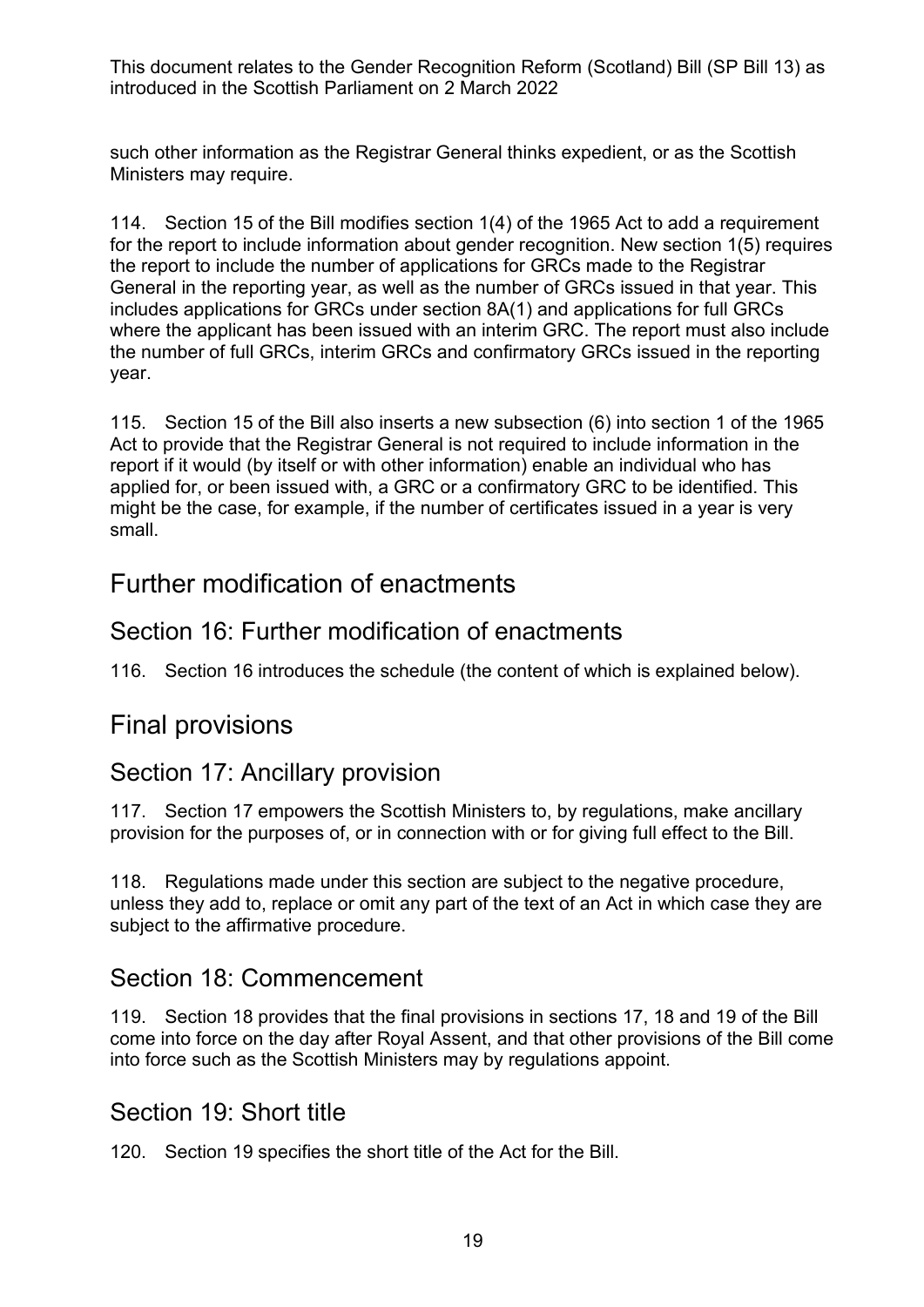such other information as the Registrar General thinks expedient, or as the Scottish Ministers may require.

114. Section 15 of the Bill modifies section 1(4) of the 1965 Act to add a requirement for the report to include information about gender recognition. New section 1(5) requires the report to include the number of applications for GRCs made to the Registrar General in the reporting year, as well as the number of GRCs issued in that year. This includes applications for GRCs under section 8A(1) and applications for full GRCs where the applicant has been issued with an interim GRC. The report must also include the number of full GRCs, interim GRCs and confirmatory GRCs issued in the reporting year.

115. Section 15 of the Bill also inserts a new subsection (6) into section 1 of the 1965 Act to provide that the Registrar General is not required to include information in the report if it would (by itself or with other information) enable an individual who has applied for, or been issued with, a GRC or a confirmatory GRC to be identified. This might be the case, for example, if the number of certificates issued in a year is very small.

#### Further modification of enactments

#### Section 16: Further modification of enactments

116. Section 16 introduces the schedule (the content of which is explained below).

#### Final provisions

#### Section 17: Ancillary provision

117. Section 17 empowers the Scottish Ministers to, by regulations, make ancillary provision for the purposes of, or in connection with or for giving full effect to the Bill.

118. Regulations made under this section are subject to the negative procedure, unless they add to, replace or omit any part of the text of an Act in which case they are subject to the affirmative procedure.

#### Section 18: Commencement

119. Section 18 provides that the final provisions in sections 17, 18 and 19 of the Bill come into force on the day after Royal Assent, and that other provisions of the Bill come into force such as the Scottish Ministers may by regulations appoint.

#### Section 19: Short title

120. Section 19 specifies the short title of the Act for the Bill.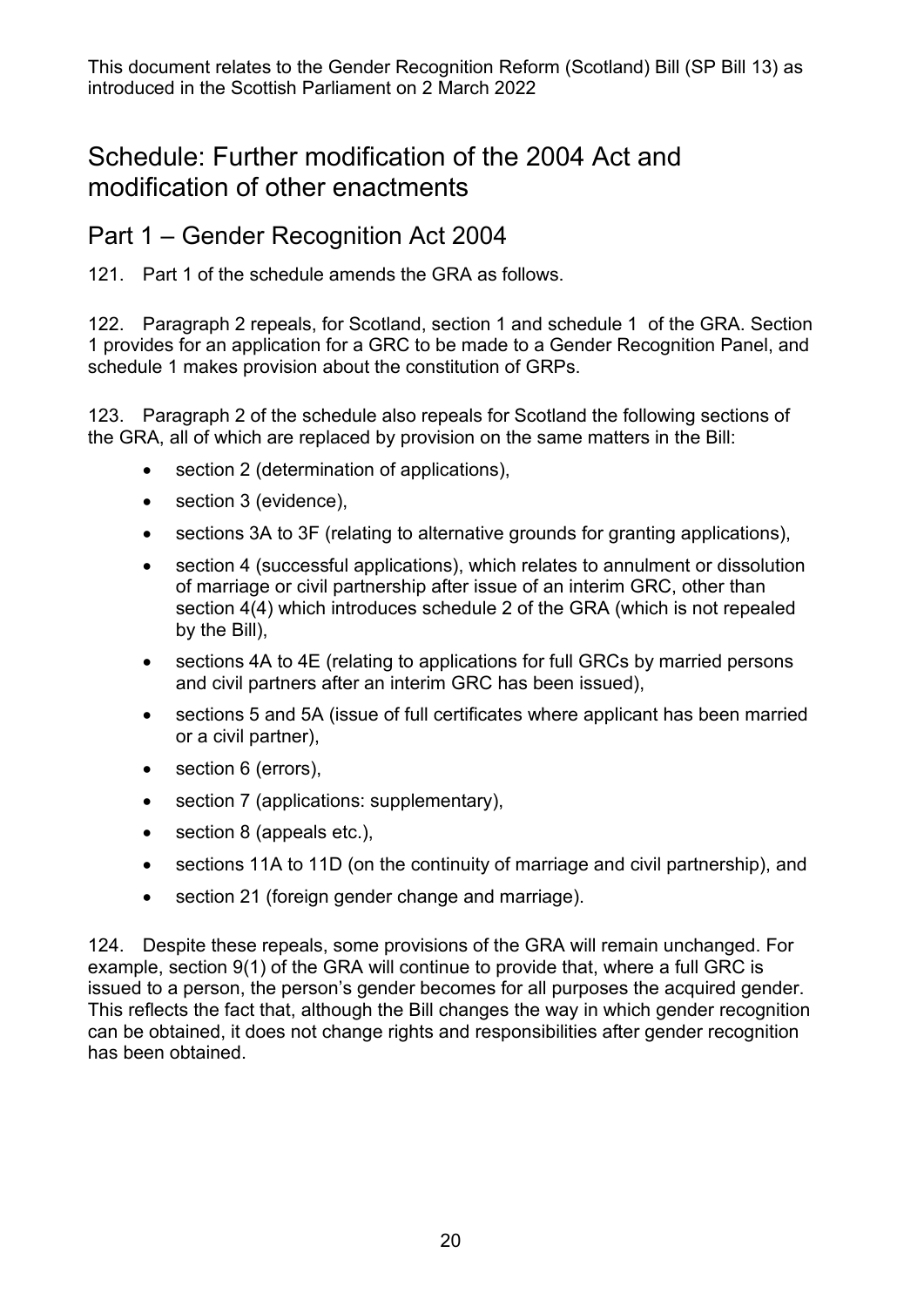## Schedule: Further modification of the 2004 Act and modification of other enactments

#### Part 1 – Gender Recognition Act 2004

121. Part 1 of the schedule amends the GRA as follows.

122. Paragraph 2 repeals, for Scotland, section 1 and schedule 1 of the GRA. Section 1 provides for an application for a GRC to be made to a Gender Recognition Panel, and schedule 1 makes provision about the constitution of GRPs.

123. Paragraph 2 of the schedule also repeals for Scotland the following sections of the GRA, all of which are replaced by provision on the same matters in the Bill:

- section 2 (determination of applications),
- section 3 (evidence),
- sections 3A to 3F (relating to alternative grounds for granting applications),
- section 4 (successful applications), which relates to annulment or dissolution of marriage or civil partnership after issue of an interim GRC, other than section 4(4) which introduces schedule 2 of the GRA (which is not repealed by the Bill),
- sections 4A to 4E (relating to applications for full GRCs by married persons and civil partners after an interim GRC has been issued),
- sections 5 and 5A (issue of full certificates where applicant has been married or a civil partner),
- section 6 (errors),
- section 7 (applications: supplementary),
- section 8 (appeals etc.),
- sections 11A to 11D (on the continuity of marriage and civil partnership), and
- section 21 (foreign gender change and marriage).

124. Despite these repeals, some provisions of the GRA will remain unchanged. For example, section 9(1) of the GRA will continue to provide that, where a full GRC is issued to a person, the person's gender becomes for all purposes the acquired gender. This reflects the fact that, although the Bill changes the way in which gender recognition can be obtained, it does not change rights and responsibilities after gender recognition has been obtained.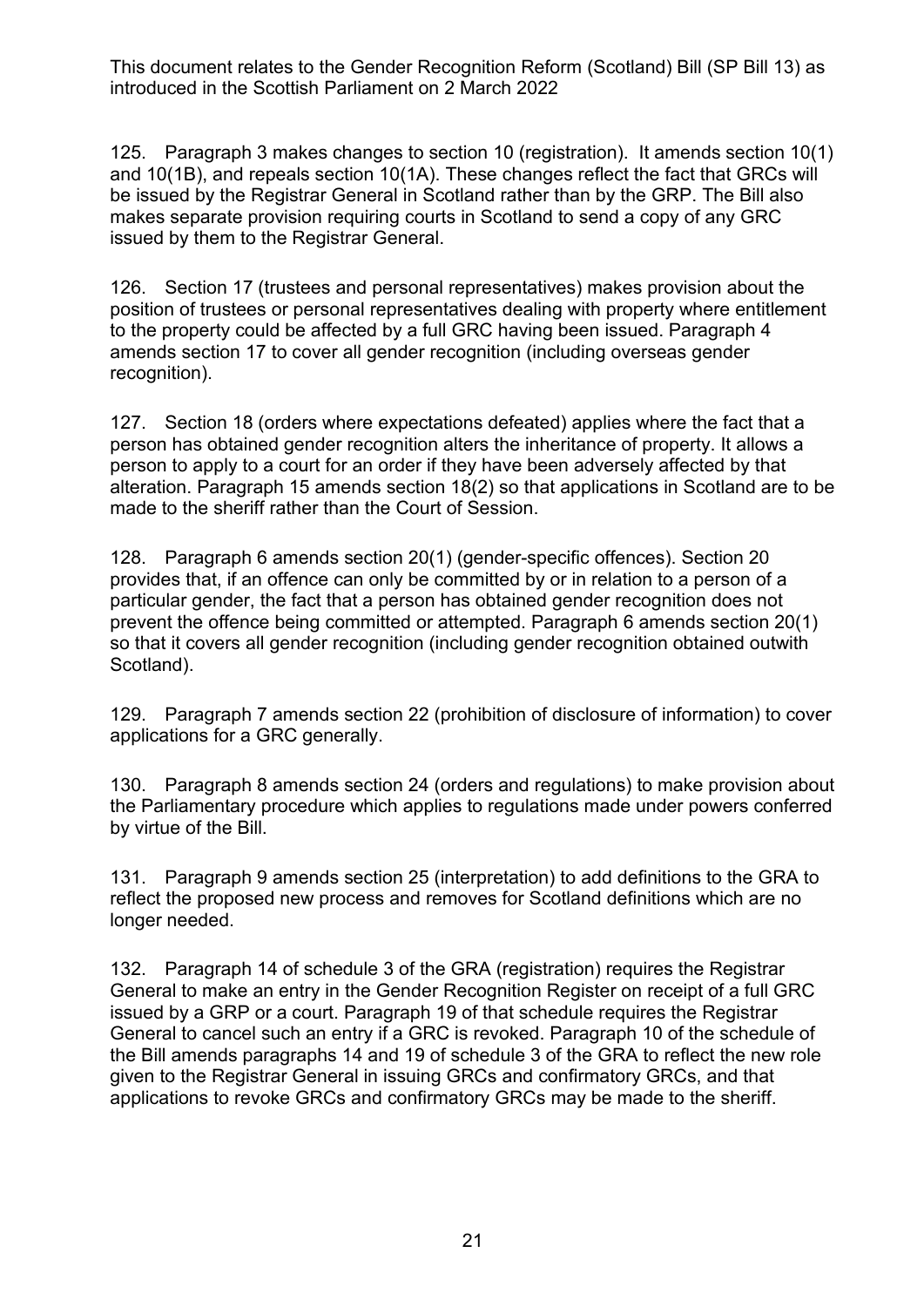125. Paragraph 3 makes changes to section 10 (registration). It amends section 10(1) and 10(1B), and repeals section 10(1A). These changes reflect the fact that GRCs will be issued by the Registrar General in Scotland rather than by the GRP. The Bill also makes separate provision requiring courts in Scotland to send a copy of any GRC issued by them to the Registrar General.

126. Section 17 (trustees and personal representatives) makes provision about the position of trustees or personal representatives dealing with property where entitlement to the property could be affected by a full GRC having been issued. Paragraph 4 amends section 17 to cover all gender recognition (including overseas gender recognition).

127. Section 18 (orders where expectations defeated) applies where the fact that a person has obtained gender recognition alters the inheritance of property. It allows a person to apply to a court for an order if they have been adversely affected by that alteration. Paragraph 15 amends section 18(2) so that applications in Scotland are to be made to the sheriff rather than the Court of Session.

128. Paragraph 6 amends section 20(1) (gender-specific offences). Section 20 provides that, if an offence can only be committed by or in relation to a person of a particular gender, the fact that a person has obtained gender recognition does not prevent the offence being committed or attempted. Paragraph 6 amends section 20(1) so that it covers all gender recognition (including gender recognition obtained outwith Scotland).

129. Paragraph 7 amends section 22 (prohibition of disclosure of information) to cover applications for a GRC generally.

130. Paragraph 8 amends section 24 (orders and regulations) to make provision about the Parliamentary procedure which applies to regulations made under powers conferred by virtue of the Bill.

131. Paragraph 9 amends section 25 (interpretation) to add definitions to the GRA to reflect the proposed new process and removes for Scotland definitions which are no longer needed.

132. Paragraph 14 of schedule 3 of the GRA (registration) requires the Registrar General to make an entry in the Gender Recognition Register on receipt of a full GRC issued by a GRP or a court. Paragraph 19 of that schedule requires the Registrar General to cancel such an entry if a GRC is revoked. Paragraph 10 of the schedule of the Bill amends paragraphs 14 and 19 of schedule 3 of the GRA to reflect the new role given to the Registrar General in issuing GRCs and confirmatory GRCs, and that applications to revoke GRCs and confirmatory GRCs may be made to the sheriff.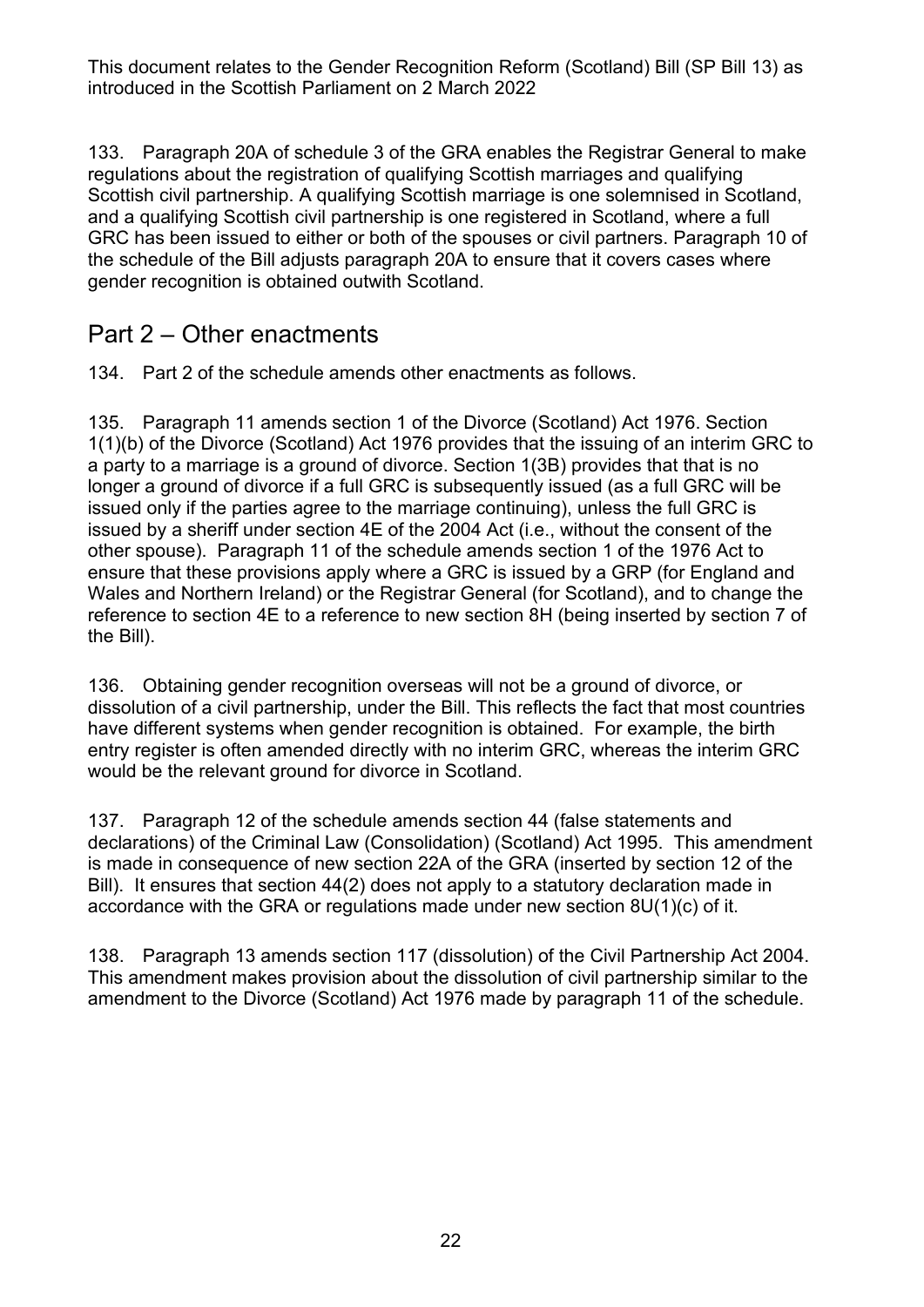133. Paragraph 20A of schedule 3 of the GRA enables the Registrar General to make regulations about the registration of qualifying Scottish marriages and qualifying Scottish civil partnership. A qualifying Scottish marriage is one solemnised in Scotland, and a qualifying Scottish civil partnership is one registered in Scotland, where a full GRC has been issued to either or both of the spouses or civil partners. Paragraph 10 of the schedule of the Bill adjusts paragraph 20A to ensure that it covers cases where gender recognition is obtained outwith Scotland.

#### Part 2 – Other enactments

134. Part 2 of the schedule amends other enactments as follows.

135. Paragraph 11 amends section 1 of the Divorce (Scotland) Act 1976. Section 1(1)(b) of the Divorce (Scotland) Act 1976 provides that the issuing of an interim GRC to a party to a marriage is a ground of divorce. Section 1(3B) provides that that is no longer a ground of divorce if a full GRC is subsequently issued (as a full GRC will be issued only if the parties agree to the marriage continuing), unless the full GRC is issued by a sheriff under section 4E of the 2004 Act (i.e., without the consent of the other spouse). Paragraph 11 of the schedule amends section 1 of the 1976 Act to ensure that these provisions apply where a GRC is issued by a GRP (for England and Wales and Northern Ireland) or the Registrar General (for Scotland), and to change the reference to section 4E to a reference to new section 8H (being inserted by section 7 of the Bill).

136. Obtaining gender recognition overseas will not be a ground of divorce, or dissolution of a civil partnership, under the Bill. This reflects the fact that most countries have different systems when gender recognition is obtained. For example, the birth entry register is often amended directly with no interim GRC, whereas the interim GRC would be the relevant ground for divorce in Scotland.

137. Paragraph 12 of the schedule amends section 44 (false statements and declarations) of the Criminal Law (Consolidation) (Scotland) Act 1995. This amendment is made in consequence of new section 22A of the GRA (inserted by section 12 of the Bill). It ensures that section 44(2) does not apply to a statutory declaration made in accordance with the GRA or regulations made under new section 8U(1)(c) of it.

138. Paragraph 13 amends section 117 (dissolution) of the Civil Partnership Act 2004. This amendment makes provision about the dissolution of civil partnership similar to the amendment to the Divorce (Scotland) Act 1976 made by paragraph 11 of the schedule.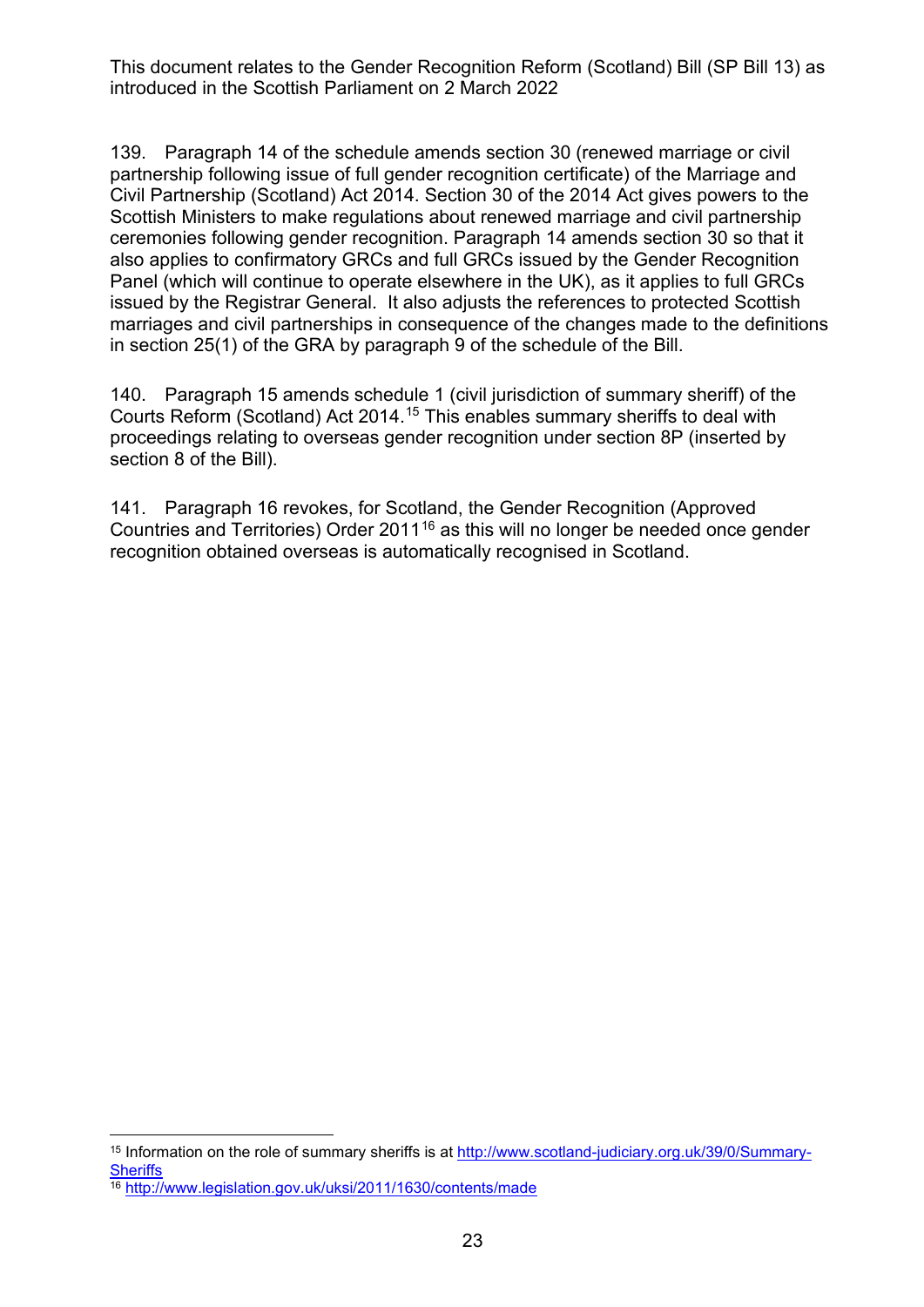139. Paragraph 14 of the schedule amends section 30 (renewed marriage or civil partnership following issue of full gender recognition certificate) of the Marriage and Civil Partnership (Scotland) Act 2014. Section 30 of the 2014 Act gives powers to the Scottish Ministers to make regulations about renewed marriage and civil partnership ceremonies following gender recognition. Paragraph 14 amends section 30 so that it also applies to confirmatory GRCs and full GRCs issued by the Gender Recognition Panel (which will continue to operate elsewhere in the UK), as it applies to full GRCs issued by the Registrar General. It also adjusts the references to protected Scottish marriages and civil partnerships in consequence of the changes made to the definitions in section 25(1) of the GRA by paragraph 9 of the schedule of the Bill.

140. Paragraph 15 amends schedule 1 (civil jurisdiction of summary sheriff) of the Courts Reform (Scotland) Act 2014[.15](#page-22-0) This enables summary sheriffs to deal with proceedings relating to overseas gender recognition under section 8P (inserted by section 8 of the Bill).

141. Paragraph 16 revokes, for Scotland, the Gender Recognition (Approved Countries and Territories) Order 2011<sup>[16](#page-22-1)</sup> as this will no longer be needed once gender recognition obtained overseas is automatically recognised in Scotland.

<span id="page-22-0"></span><sup>15</sup> Information on the role of summary sheriffs is at [http://www.scotland-judiciary.org.uk/39/0/Summary-](http://www.scotland-judiciary.org.uk/39/0/Summary-Sheriffs)**[Sheriffs](http://www.scotland-judiciary.org.uk/39/0/Summary-Sheriffs)** 

<span id="page-22-1"></span><sup>&</sup>lt;sup>16</sup> <http://www.legislation.gov.uk/uksi/2011/1630/contents/made>